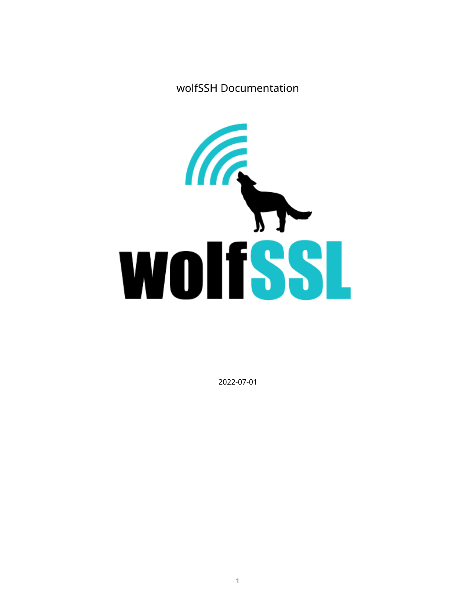wolfSSH Documentation



2022-07-01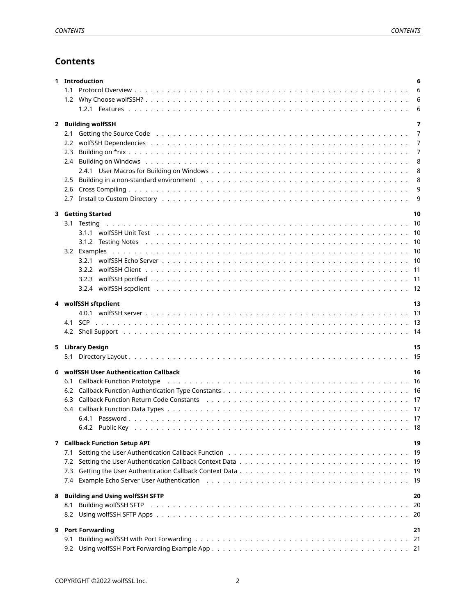# **Contents**

|   |            | 1 Introduction                                                                                                                                                                                                                 | 6      |
|---|------------|--------------------------------------------------------------------------------------------------------------------------------------------------------------------------------------------------------------------------------|--------|
|   | 1.1        |                                                                                                                                                                                                                                | 6      |
|   |            |                                                                                                                                                                                                                                | 6<br>6 |
|   |            |                                                                                                                                                                                                                                |        |
|   |            | 2 Building wolfSSH                                                                                                                                                                                                             | 7      |
|   |            | 2.1 Getting the Source Code edge of contact the contract of the contract of the contract of the contract of the contract of the contract of the contract of the contract of the contract of the contract of the contract of th | 7      |
|   |            |                                                                                                                                                                                                                                | 7      |
|   | 2.3        |                                                                                                                                                                                                                                | 7<br>8 |
|   |            |                                                                                                                                                                                                                                | 8      |
|   | 2.5        |                                                                                                                                                                                                                                | 8      |
|   |            |                                                                                                                                                                                                                                | 9      |
|   |            |                                                                                                                                                                                                                                | 9      |
|   |            |                                                                                                                                                                                                                                |        |
|   |            | 3 Getting Started                                                                                                                                                                                                              | 10     |
|   |            |                                                                                                                                                                                                                                |        |
|   |            |                                                                                                                                                                                                                                |        |
|   |            |                                                                                                                                                                                                                                |        |
|   |            |                                                                                                                                                                                                                                |        |
|   |            |                                                                                                                                                                                                                                |        |
|   |            |                                                                                                                                                                                                                                |        |
|   |            |                                                                                                                                                                                                                                |        |
|   |            | 4 wolfSSH sftpclient                                                                                                                                                                                                           | 13     |
|   |            |                                                                                                                                                                                                                                |        |
|   |            |                                                                                                                                                                                                                                |        |
|   |            |                                                                                                                                                                                                                                |        |
|   |            |                                                                                                                                                                                                                                |        |
|   |            |                                                                                                                                                                                                                                | 15     |
|   |            | 5 Library Design                                                                                                                                                                                                               |        |
|   |            |                                                                                                                                                                                                                                |        |
| 6 |            | wolfSSH User Authentication Callback                                                                                                                                                                                           | 16     |
|   | 6.1        |                                                                                                                                                                                                                                |        |
|   |            |                                                                                                                                                                                                                                |        |
|   |            |                                                                                                                                                                                                                                |        |
|   |            |                                                                                                                                                                                                                                |        |
|   |            |                                                                                                                                                                                                                                |        |
|   |            |                                                                                                                                                                                                                                |        |
|   | 7.1        | <b>7 Callback Function Setup API</b>                                                                                                                                                                                           | 19     |
|   | 7.2        |                                                                                                                                                                                                                                |        |
|   | 7.3        |                                                                                                                                                                                                                                |        |
|   |            | 7.4 Example Echo Server User Authentication (a) and a subset of the state of the state of the state of the state of the state of the state of the state of the state of the state of the state of the state of the state of th |        |
|   |            |                                                                                                                                                                                                                                |        |
| 8 |            | <b>Building and Using wolfSSH SFTP</b>                                                                                                                                                                                         | 20     |
|   | 8.1        |                                                                                                                                                                                                                                |        |
|   | 8.2        |                                                                                                                                                                                                                                |        |
| 9 |            | <b>Port Forwarding</b>                                                                                                                                                                                                         | 21     |
|   | 9.1<br>9.2 |                                                                                                                                                                                                                                |        |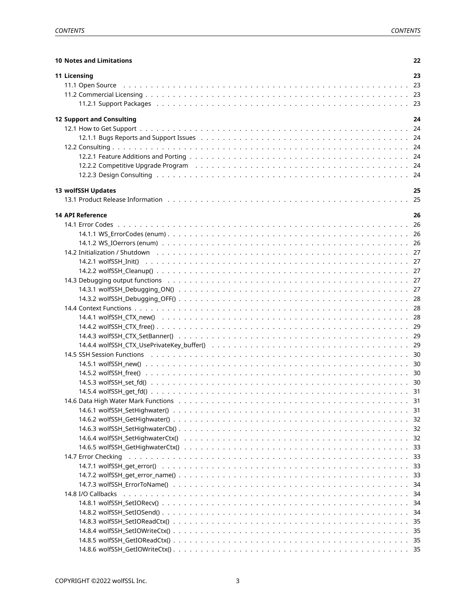| <b>10 Notes and Limitations</b>                                                                                                                                                                                                | 22 |
|--------------------------------------------------------------------------------------------------------------------------------------------------------------------------------------------------------------------------------|----|
| 11 Licensing                                                                                                                                                                                                                   | 23 |
| 11.1 Open Source (assessment of the case of the contract of the contract of the contract of the contract of the contract of the contract of the contract of the contract of the contract of the contract of the contract of th |    |
|                                                                                                                                                                                                                                |    |
|                                                                                                                                                                                                                                |    |
|                                                                                                                                                                                                                                |    |
| <b>12 Support and Consulting</b>                                                                                                                                                                                               | 24 |
|                                                                                                                                                                                                                                |    |
| 12.1.1 Bugs Reports and Support Issues (and all contact of the content of the content of the content of the co                                                                                                                 |    |
|                                                                                                                                                                                                                                |    |
|                                                                                                                                                                                                                                |    |
|                                                                                                                                                                                                                                |    |
|                                                                                                                                                                                                                                |    |
| 13 wolfSSH Updates                                                                                                                                                                                                             | 25 |
|                                                                                                                                                                                                                                |    |
| <b>14 API Reference</b>                                                                                                                                                                                                        | 26 |
|                                                                                                                                                                                                                                |    |
|                                                                                                                                                                                                                                |    |
|                                                                                                                                                                                                                                |    |
|                                                                                                                                                                                                                                |    |
|                                                                                                                                                                                                                                |    |
|                                                                                                                                                                                                                                |    |
|                                                                                                                                                                                                                                |    |
|                                                                                                                                                                                                                                |    |
|                                                                                                                                                                                                                                |    |
|                                                                                                                                                                                                                                |    |
|                                                                                                                                                                                                                                |    |
|                                                                                                                                                                                                                                |    |
|                                                                                                                                                                                                                                |    |
|                                                                                                                                                                                                                                |    |
|                                                                                                                                                                                                                                |    |
|                                                                                                                                                                                                                                |    |
|                                                                                                                                                                                                                                |    |
|                                                                                                                                                                                                                                |    |
|                                                                                                                                                                                                                                |    |
|                                                                                                                                                                                                                                |    |
|                                                                                                                                                                                                                                |    |
|                                                                                                                                                                                                                                |    |
|                                                                                                                                                                                                                                |    |
|                                                                                                                                                                                                                                |    |
|                                                                                                                                                                                                                                |    |
|                                                                                                                                                                                                                                |    |
|                                                                                                                                                                                                                                |    |
|                                                                                                                                                                                                                                |    |
|                                                                                                                                                                                                                                |    |
|                                                                                                                                                                                                                                |    |
|                                                                                                                                                                                                                                |    |
|                                                                                                                                                                                                                                |    |
|                                                                                                                                                                                                                                |    |
|                                                                                                                                                                                                                                |    |
|                                                                                                                                                                                                                                |    |
|                                                                                                                                                                                                                                |    |
|                                                                                                                                                                                                                                |    |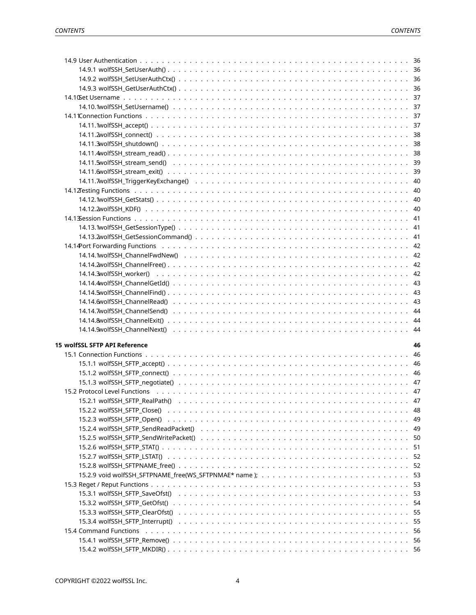| <b>15 wolfSSL SFTP API Reference</b>                                                                                                                                                                                          |  | 46  |
|-------------------------------------------------------------------------------------------------------------------------------------------------------------------------------------------------------------------------------|--|-----|
|                                                                                                                                                                                                                               |  |     |
|                                                                                                                                                                                                                               |  |     |
|                                                                                                                                                                                                                               |  |     |
|                                                                                                                                                                                                                               |  |     |
| 15.2 Protocol Level Functions (all contracts) and the contracts of the contracts of the contracts of the control of the contracts of the contracts of the contracts of the contracts of the contracts of the contracts of the |  |     |
|                                                                                                                                                                                                                               |  |     |
|                                                                                                                                                                                                                               |  |     |
|                                                                                                                                                                                                                               |  |     |
|                                                                                                                                                                                                                               |  |     |
|                                                                                                                                                                                                                               |  | 50  |
|                                                                                                                                                                                                                               |  | 51  |
|                                                                                                                                                                                                                               |  | -52 |
|                                                                                                                                                                                                                               |  | 52  |
|                                                                                                                                                                                                                               |  | 53  |
|                                                                                                                                                                                                                               |  | 53  |
|                                                                                                                                                                                                                               |  | 53  |
|                                                                                                                                                                                                                               |  | 54  |
|                                                                                                                                                                                                                               |  | 55  |
|                                                                                                                                                                                                                               |  | 55  |
|                                                                                                                                                                                                                               |  | -56 |
|                                                                                                                                                                                                                               |  |     |
|                                                                                                                                                                                                                               |  |     |
|                                                                                                                                                                                                                               |  |     |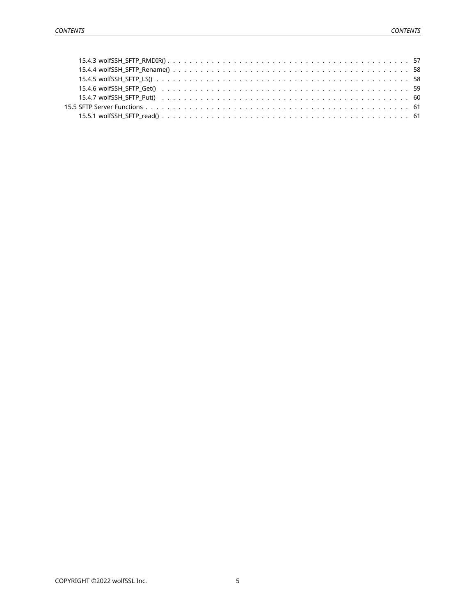<span id="page-4-0"></span>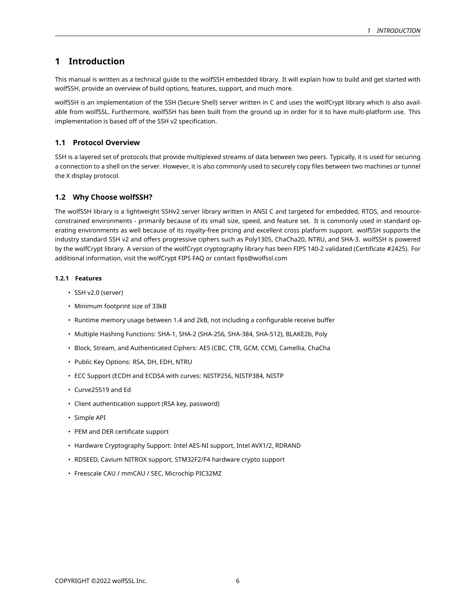# **1 Introduction**

This manual is written as a technical guide to the wolfSSH embedded library. It will explain how to build and get started with wolfSSH, provide an overview of build options, features, support, and much more.

wolfSSH is an implementation of the SSH (Secure Shell) server written in C and uses the wolfCrypt library which is also available from wolfSSL. Furthermore, wolfSSH has been built from the ground up in order for it to have multi-platform use. This implementation is based off of the SSH v2 specification.

# <span id="page-5-0"></span>**1.1 Protocol Overview**

SSH is a layered set of protocols that provide multiplexed streams of data between two peers. Typically, it is used for securing a connection to a shell on the server. However, it is also commonly used to securely copy files between two machines or tunnel the X display protocol.

# <span id="page-5-1"></span>**1.2 Why Choose wolfSSH?**

The wolfSSH library is a lightweight SSHv2 server library written in ANSI C and targeted for embedded, RTOS, and resourceconstrained environments - primarily because of its small size, speed, and feature set. It is commonly used in standard operating environments as well because of its royalty-free pricing and excellent cross platform support. wolfSSH supports the industry standard SSH v2 and offers progressive ciphers such as Poly1305, ChaCha20, NTRU, and SHA-3. wolfSSH is powered by the wolfCrypt library. A version of the wolfCrypt cryptography library has been FIPS 140-2 validated (Certificate #2425). For additional information, visit the wolfCrypt FIPS FAQ or contact fips@wolfssl.com

### <span id="page-5-2"></span>**1.2.1 Features**

- SSH v2.0 (server)
- Minimum footprint size of 33kB
- Runtime memory usage between 1.4 and 2kB, not including a configurable receive buffer
- Multiple Hashing Functions: SHA-1, SHA-2 (SHA-256, SHA-384, SHA-512), BLAKE2b, Poly
- Block, Stream, and Authenticated Ciphers: AES (CBC, CTR, GCM, CCM), Camellia, ChaCha
- Public Key Options: RSA, DH, EDH, NTRU
- ECC Support (ECDH and ECDSA with curves: NISTP256, NISTP384, NISTP
- Curve25519 and Ed
- Client authentication support (RSA key, password)
- Simple API
- PEM and DER certificate support
- Hardware Cryptography Support: Intel AES-NI support, Intel AVX1/2, RDRAND
- RDSEED, Cavium NITROX support, STM32F2/F4 hardware crypto support
- <span id="page-5-3"></span>• Freescale CAU / mmCAU / SEC, Microchip PIC32MZ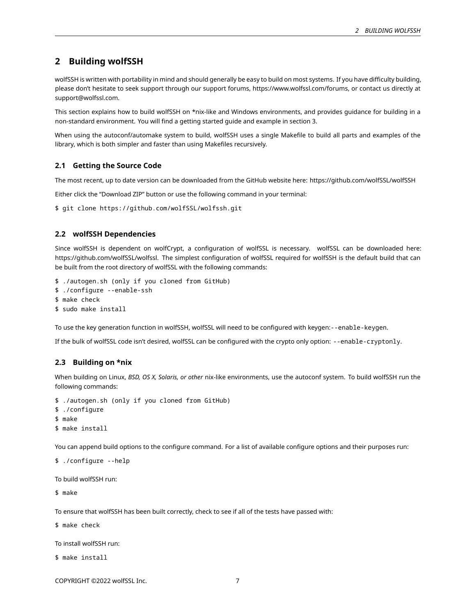# **2 Building wolfSSH**

wolfSSH is written with portability in mind and should generally be easy to build on most systems. If you have difficulty building, please don't hesitate to seek support through our support forums, https://www.wolfssl.com/forums, or contact us directly at support@wolfssl.com.

This section explains how to build wolfSSH on \*nix-like and Windows environments, and provides guidance for building in a non-standard environment. You will find a getting started guide and example in section 3.

When using the autoconf/automake system to build, wolfSSH uses a single Makefile to build all parts and examples of the library, which is both simpler and faster than using Makefiles recursively.

# <span id="page-6-0"></span>**2.1 Getting the Source Code**

The most recent, up to date version can be downloaded from the GitHub website here: https://github.com/wolfSSL/wolfSSH

Either click the "Download ZIP" button or use the following command in your terminal:

<span id="page-6-1"></span>\$ git clone https://github.com/wolfSSL/wolfssh.git

# **2.2 wolfSSH Dependencies**

Since wolfSSH is dependent on wolfCrypt, a configuration of wolfSSL is necessary. wolfSSL can be downloaded here: https://github.com/wolfSSL/wolfssl. The simplest configuration of wolfSSL required for wolfSSH is the default build that can be built from the root directory of wolfSSL with the following commands:

```
$ ./autogen.sh (only if you cloned from GitHub)
```
\$ ./configure --enable-ssh

```
$ make check
```
\$ sudo make install

To use the key generation function in wolfSSH, wolfSSL will need to be configured with keygen:--enable-keygen.

<span id="page-6-2"></span>If the bulk of wolfSSL code isn't desired, wolfSSL can be configured with the crypto only option: --enable-cryptonly.

# **2.3 Building on \*nix**

When building on Linux, *BSD, OS X, Solaris, or other* nix-like environments, use the autoconf system. To build wolfSSH run the following commands:

```
$ ./autogen.sh (only if you cloned from GitHub)
$ ./configure
```
\$ make

```
$ make install
```
You can append build options to the configure command. For a list of available configure options and their purposes run:

```
$ ./configure --help
```
To build wolfSSH run:

\$ make

To ensure that wolfSSH has been built correctly, check to see if all of the tests have passed with:

\$ make check

To install wolfSSH run:

\$ make install

```
COPYRIGHT ©2022 wolfSSL Inc. 7
```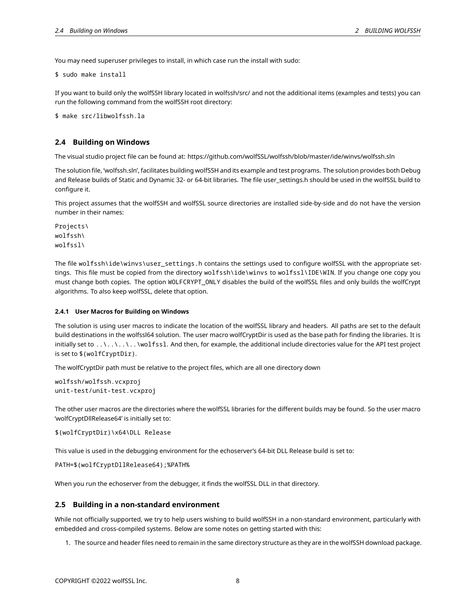You may need superuser privileges to install, in which case run the install with sudo:

\$ sudo make install

If you want to build only the wolfSSH library located in wolfssh/src/ and not the additional items (examples and tests) you can run the following command from the wolfSSH root directory:

<span id="page-7-0"></span>\$ make src/libwolfssh.la

# **2.4 Building on Windows**

The visual studio project file can be found at: https://github.com/wolfSSL/wolfssh/blob/master/ide/winvs/wolfssh.sln

The solution file, 'wolfssh.sln', facilitates building wolfSSH and its example and test programs. The solution provides both Debug and Release builds of Static and Dynamic 32- or 64-bit libraries. The file user\_settings.h should be used in the wolfSSL build to configure it.

This project assumes that the wolfSSH and wolfSSL source directories are installed side-by-side and do not have the version number in their names:

Projects\ wolfssh\ wolfssl\

The file wolfssh\ide\winvs\user\_settings.h contains the settings used to configure wolfSSL with the appropriate settings. This file must be copied from the directory wolfssh\ide\winvs to wolfssl\IDE\WIN. If you change one copy you must change both copies. The option WOLFCRYPT\_ONLY disables the build of the wolfSSL files and only builds the wolfCrypt algorithms. To also keep wolfSSL, delete that option.

# <span id="page-7-1"></span>**2.4.1 User Macros for Building on Windows**

The solution is using user macros to indicate the location of the wolfSSL library and headers. All paths are set to the default build destinations in the wolfssl64 solution. The user macro wolfCryptDir is used as the base path for finding the libraries. It is initially set to  $\ldots\ldots\ldots\text{volfs}$ . And then, for example, the additional include directories value for the API test project is set to \$(wolfCryptDir).

The wolfCryptDir path must be relative to the project files, which are all one directory down

```
wolfssh/wolfssh.vcxproj
unit-test/unit-test.vcxproj
```
The other user macros are the directories where the wolfSSL libraries for the different builds may be found. So the user macro 'wolfCryptDllRelease64' is initially set to:

\$(wolfCryptDir)\x64\DLL Release

This value is used in the debugging environment for the echoserver's 64-bit DLL Release build is set to:

PATH=\$(wolfCryptDllRelease64);%PATH%

<span id="page-7-2"></span>When you run the echoserver from the debugger, it finds the wolfSSL DLL in that directory.

# **2.5 Building in a non-standard environment**

While not officially supported, we try to help users wishing to build wolfSSH in a non-standard environment, particularly with embedded and cross-compiled systems. Below are some notes on getting started with this:

1. The source and header files need to remain in the same directory structure as they are in the wolfSSH download package.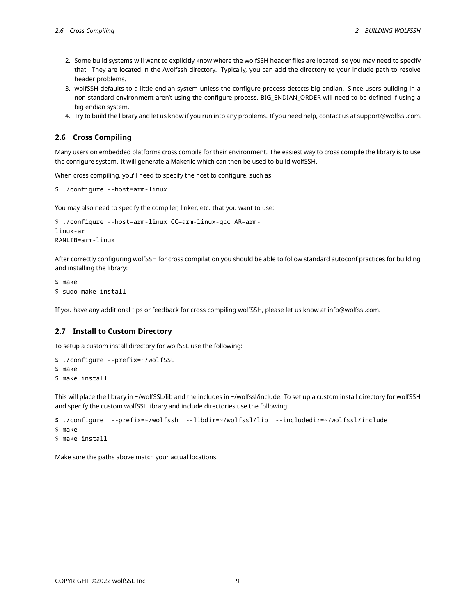- 2. Some build systems will want to explicitly know where the wolfSSH header files are located, so you may need to specify that. They are located in the /wolfssh directory. Typically, you can add the directory to your include path to resolve header problems.
- 3. wolfSSH defaults to a little endian system unless the configure process detects big endian. Since users building in a non-standard environment aren't using the configure process, BIG\_ENDIAN\_ORDER will need to be defined if using a big endian system.
- <span id="page-8-0"></span>4. Try to build the library and let us know if you run into any problems. If you need help, contact us at support@wolfssl.com.

# **2.6 Cross Compiling**

Many users on embedded platforms cross compile for their environment. The easiest way to cross compile the library is to use the configure system. It will generate a Makefile which can then be used to build wolfSSH.

When cross compiling, you'll need to specify the host to configure, such as:

```
$ ./configure --host=arm-linux
```
You may also need to specify the compiler, linker, etc. that you want to use:

```
$ ./configure --host=arm-linux CC=arm-linux-gcc AR=arm-
linux-ar
RANLIB=arm-linux
```
After correctly configuring wolfSSH for cross compilation you should be able to follow standard autoconf practices for building and installing the library:

```
$ make
$ sudo make install
```
<span id="page-8-1"></span>If you have any additional tips or feedback for cross compiling wolfSSH, please let us know at info@wolfssl.com.

# **2.7 Install to Custom Directory**

To setup a custom install directory for wolfSSL use the following:

```
$ ./configure --prefix=~/wolfSSL
$ make
$ make install
```
This will place the library in ~/wolfSSL/lib and the includes in ~/wolfssl/include. To set up a custom install directory for wolfSSH and specify the custom wolfSSL library and include directories use the following:

```
$ ./configure --prefix=~/wolfssh --libdir=~/wolfssl/lib --includedir=~/wolfssl/include
$ make
$ make install
```
<span id="page-8-2"></span>Make sure the paths above match your actual locations.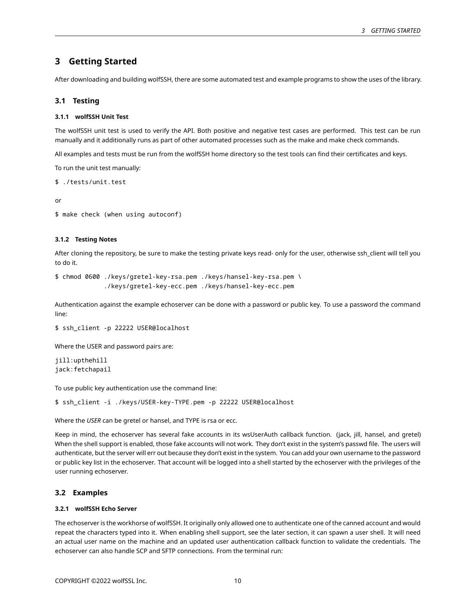# **3 Getting Started**

<span id="page-9-0"></span>After downloading and building wolfSSH, there are some automated test and example programs to show the uses of the library.

# **3.1 Testing**

### <span id="page-9-1"></span>**3.1.1 wolfSSH Unit Test**

The wolfSSH unit test is used to verify the API. Both positive and negative test cases are performed. This test can be run manually and it additionally runs as part of other automated processes such as the make and make check commands.

All examples and tests must be run from the wolfSSH home directory so the test tools can find their certificates and keys.

To run the unit test manually:

\$ ./tests/unit.test

or

```
$ make check (when using autoconf)
```
### <span id="page-9-2"></span>**3.1.2 Testing Notes**

After cloning the repository, be sure to make the testing private keys read- only for the user, otherwise ssh\_client will tell you to do it.

\$ chmod 0600 ./keys/gretel-key-rsa.pem ./keys/hansel-key-rsa.pem \ ./keys/gretel-key-ecc.pem ./keys/hansel-key-ecc.pem

Authentication against the example echoserver can be done with a password or public key. To use a password the command line:

```
$ ssh_client -p 22222 USER@localhost
```
Where the USER and password pairs are:

jill:upthehill jack:fetchapail

To use public key authentication use the command line:

\$ ssh\_client -i ./keys/USER-key-TYPE.pem -p 22222 USER@localhost

Where the *USER* can be gretel or hansel, and TYPE is rsa or ecc.

Keep in mind, the echoserver has several fake accounts in its wsUserAuth callback function. (jack, jill, hansel, and gretel) When the shell support is enabled, those fake accounts will not work. They don't exist in the system's passwd file. The users will authenticate, but the server will err out because they don't exist in the system. You can add your own username to the password or public key list in the echoserver. That account will be logged into a shell started by the echoserver with the privileges of the user running echoserver.

# <span id="page-9-3"></span>**3.2 Examples**

# <span id="page-9-4"></span>**3.2.1 wolfSSH Echo Server**

The echoserver is the workhorse of wolfSSH. It originally only allowed one to authenticate one of the canned account and would repeat the characters typed into it. When enabling shell support, see the later section, it can spawn a user shell. It will need an actual user name on the machine and an updated user authentication callback function to validate the credentials. The echoserver can also handle SCP and SFTP connections. From the terminal run: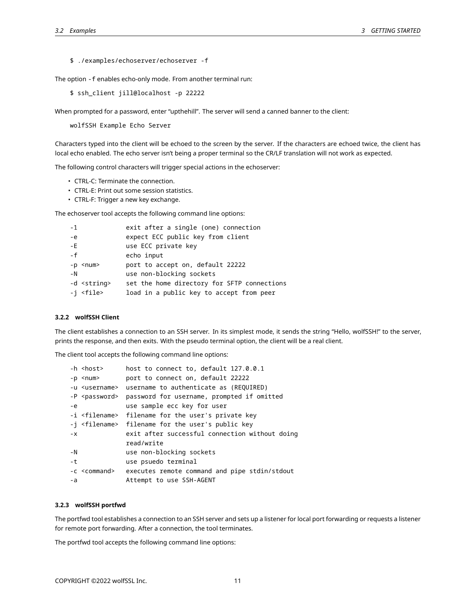\$ ./examples/echoserver/echoserver -f

The option -f enables echo-only mode. From another terminal run:

\$ ssh\_client jill@localhost -p 22222

When prompted for a password, enter "upthehill". The server will send a canned banner to the client:

wolfSSH Example Echo Server

Characters typed into the client will be echoed to the screen by the server. If the characters are echoed twice, the client has local echo enabled. The echo server isn't being a proper terminal so the CR/LF translation will not work as expected.

The following control characters will trigger special actions in the echoserver:

- CTRL-C: Terminate the connection.
- CTRL-E: Print out some session statistics.
- CTRL-F: Trigger a new key exchange.

The echoserver tool accepts the following command line options:

| - 1                  | exit after a single (one) connection        |
|----------------------|---------------------------------------------|
| $-e$                 | expect ECC public key from client           |
| $-E$                 | use ECC private key                         |
| - f                  | echo input                                  |
| $-p$ $\leq$ num $>$  | port to accept on, default 22222            |
| – N                  | use non-blocking sockets                    |
| -d <string></string> | set the home directory for SFTP connections |
| -i <file></file>     | load in a public key to accept from peer    |

# <span id="page-10-0"></span>**3.2.2 wolfSSH Client**

The client establishes a connection to an SSH server. In its simplest mode, it sends the string "Hello, wolfSSH!" to the server, prints the response, and then exits. With the pseudo terminal option, the client will be a real client.

The client tool accepts the following command line options:

|       | -h <host></host>         | host to connect to, default 127.0.0.1                           |
|-------|--------------------------|-----------------------------------------------------------------|
|       | -p <num></num>           | port to connect on, default 22222                               |
|       |                          | -u <username> username to authenticate as (REQUIRED)</username> |
|       | -P <password></password> | password for username, prompted if omitted                      |
| $-e$  |                          | use sample ecc key for user                                     |
|       |                          | -i <filename> filename for the user's private key</filename>    |
|       |                          | -j <filename> filename for the user's public key</filename>     |
| $- x$ |                          | exit after successful connection without doing                  |
|       |                          | read/write                                                      |
| $-N$  |                          | use non-blocking sockets                                        |
| $-t$  |                          | use psuedo terminal                                             |
|       | -c <command/>            | executes remote command and pipe stdin/stdout                   |
| $-a$  |                          | Attempt to use SSH-AGENT                                        |

# <span id="page-10-1"></span>**3.2.3 wolfSSH portfwd**

The portfwd tool establishes a connection to an SSH server and sets up a listener for local port forwarding or requests a listener for remote port forwarding. After a connection, the tool terminates.

The portfwd tool accepts the following command line options: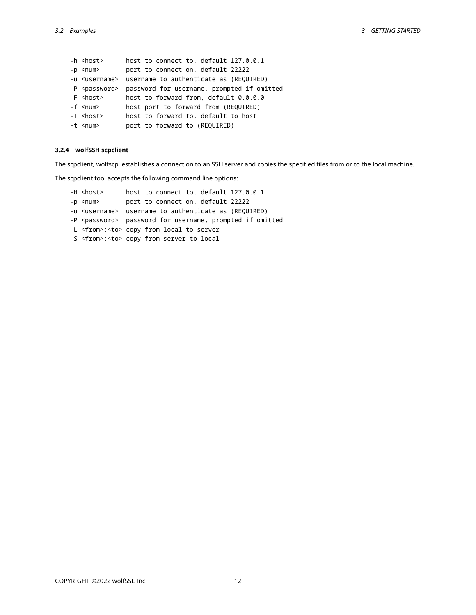-h <host> host to connect to, default 127.0.0.1 -p <num> port to connect on, default 22222 -u <username> username to authenticate as (REQUIRED) -P <password> password for username, prompted if omitted -F <host> host to forward from, default 0.0.0.0 -f <num> host port to forward from (REQUIRED) -T <host> host to forward to, default to host -t <num> port to forward to (REQUIRED)

# <span id="page-11-0"></span>**3.2.4 wolfSSH scpclient**

The scpclient, wolfscp, establishes a connection to an SSH server and copies the specified files from or to the local machine.

The scpclient tool accepts the following command line options:

<span id="page-11-1"></span>

| -H <host></host> | host to connect to, default 127.0.0.1                               |
|------------------|---------------------------------------------------------------------|
| -p <num></num>   | port to connect on, default 22222                                   |
|                  | -u <username> username to authenticate as (REQUIRED)</username>     |
|                  | -P <password> password for username, prompted if omitted</password> |
|                  | -L <from>:<to> copy from local to server</to></from>                |
|                  | -S <from>:<to> copy from server to local</to></from>                |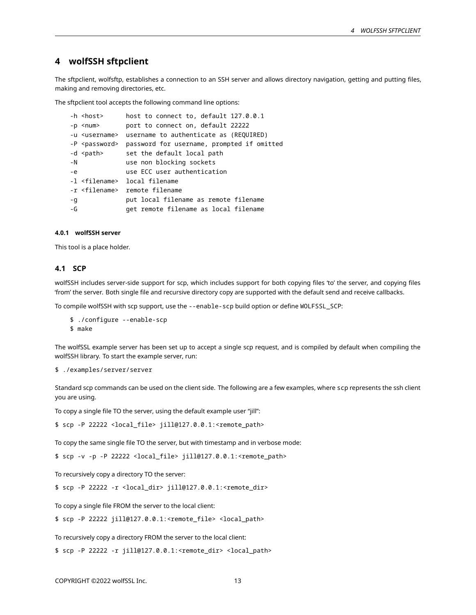# **4 wolfSSH sftpclient**

The sftpclient, wolfsftp, establishes a connection to an SSH server and allows directory navigation, getting and putting files, making and removing directories, etc.

The sftpclient tool accepts the following command line options:

```
-h <host> host to connect to, default 127.0.0.1
-p <num> port to connect on, default 22222
-u <username> username to authenticate as (REQUIRED)
-P <password> password for username, prompted if omitted
-d <path> set the default local path
-N use non blocking sockets
-e use ECC user authentication
-l <filename> local filename
-r <filename> remote filename
-g put local filename as remote filename
-G get remote filename as local filename
```
# <span id="page-12-0"></span>**4.0.1 wolfSSH server**

<span id="page-12-1"></span>This tool is a place holder.

# **4.1 SCP**

wolfSSH includes server-side support for scp, which includes support for both copying files 'to' the server, and copying files 'from' the server. Both single file and recursive directory copy are supported with the default send and receive callbacks.

To compile wolfSSH with scp support, use the --enable-scp build option or define WOLFSSL\_SCP:

\$ ./configure --enable-scp

\$ make

The wolfSSL example server has been set up to accept a single scp request, and is compiled by default when compiling the wolfSSH library. To start the example server, run:

```
$ ./examples/server/server
```
Standard scp commands can be used on the client side. The following are a few examples, where scp represents the ssh client you are using.

To copy a single file TO the server, using the default example user "jill":

\$ scp -P 22222 <local\_file> jill@127.0.0.1:<remote\_path>

To copy the same single file TO the server, but with timestamp and in verbose mode:

\$ scp -v -p -P 22222 <local\_file> jill@127.0.0.1:<remote\_path>

To recursively copy a directory TO the server:

\$ scp -P 22222 -r <local\_dir> jill@127.0.0.1:<remote\_dir>

To copy a single file FROM the server to the local client:

\$ scp -P 22222 jill@127.0.0.1:<remote\_file> <local\_path>

To recursively copy a directory FROM the server to the local client:

<span id="page-12-2"></span>\$ scp -P 22222 -r jill@127.0.0.1:<remote\_dir> <local\_path>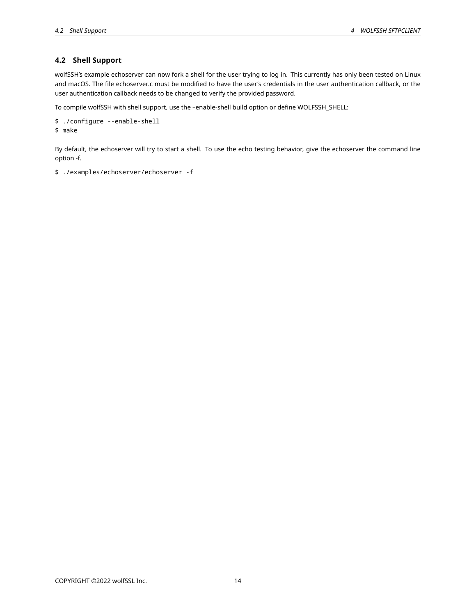# **4.2 Shell Support**

wolfSSH's example echoserver can now fork a shell for the user trying to log in. This currently has only been tested on Linux and macOS. The file echoserver.c must be modified to have the user's credentials in the user authentication callback, or the user authentication callback needs to be changed to verify the provided password.

To compile wolfSSH with shell support, use the –enable-shell build option or define WOLFSSH\_SHELL:

```
$ ./configure --enable-shell
$ make
```
By default, the echoserver will try to start a shell. To use the echo testing behavior, give the echoserver the command line option -f.

```
$ ./examples/echoserver/echoserver -f
```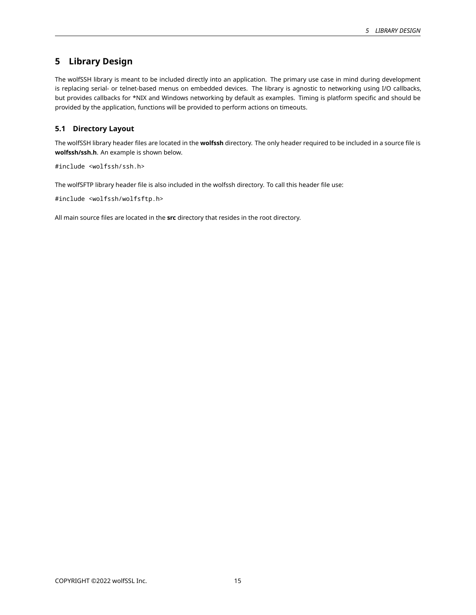# **5 Library Design**

The wolfSSH library is meant to be included directly into an application. The primary use case in mind during development is replacing serial- or telnet-based menus on embedded devices. The library is agnostic to networking using I/O callbacks, but provides callbacks for \*NIX and Windows networking by default as examples. Timing is platform specific and should be provided by the application, functions will be provided to perform actions on timeouts.

# <span id="page-14-0"></span>**5.1 Directory Layout**

The wolfSSH library header files are located in the **wolfssh** directory. The only header required to be included in a source file is **wolfssh/ssh.h**. An example is shown below.

#include <wolfssh/ssh.h>

The wolfSFTP library header file is also included in the wolfssh directory. To call this header file use:

#include <wolfssh/wolfsftp.h>

<span id="page-14-1"></span>All main source files are located in the **src** directory that resides in the root directory.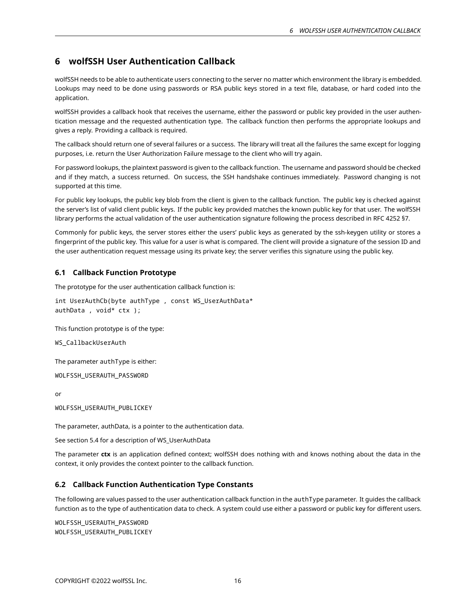# **6 wolfSSH User Authentication Callback**

wolfSSH needs to be able to authenticate users connecting to the server no matter which environment the library is embedded. Lookups may need to be done using passwords or RSA public keys stored in a text file, database, or hard coded into the application.

wolfSSH provides a callback hook that receives the username, either the password or public key provided in the user authentication message and the requested authentication type. The callback function then performs the appropriate lookups and gives a reply. Providing a callback is required.

The callback should return one of several failures or a success. The library will treat all the failures the same except for logging purposes, i.e. return the User Authorization Failure message to the client who will try again.

For password lookups, the plaintext password is given to the callback function. The username and password should be checked and if they match, a success returned. On success, the SSH handshake continues immediately. Password changing is not supported at this time.

For public key lookups, the public key blob from the client is given to the callback function. The public key is checked against the server's list of valid client public keys. If the public key provided matches the known public key for that user. The wolfSSH library performs the actual validation of the user authentication signature following the process described in RFC 4252 §7.

Commonly for public keys, the server stores either the users' public keys as generated by the ssh-keygen utility or stores a fingerprint of the public key. This value for a user is what is compared. The client will provide a signature of the session ID and the user authentication request message using its private key; the server verifies this signature using the public key.

# <span id="page-15-0"></span>**6.1 Callback Function Prototype**

The prototype for the user authentication callback function is:

```
int UserAuthCb(byte authType , const WS_UserAuthData*
authData , void* ctx );
```
This function prototype is of the type:

WS\_CallbackUserAuth

The parameter authType is either:

WOLFSSH\_USERAUTH\_PASSWORD

or

WOLFSSH\_USERAUTH\_PUBLICKEY

The parameter, authData, is a pointer to the authentication data.

See section 5.4 for a description of WS\_UserAuthData

The parameter **ctx** is an application defined context; wolfSSH does nothing with and knows nothing about the data in the context, it only provides the context pointer to the callback function.

# <span id="page-15-1"></span>**6.2 Callback Function Authentication Type Constants**

The following are values passed to the user authentication callback function in the authType parameter. It guides the callback function as to the type of authentication data to check. A system could use either a password or public key for different users.

<span id="page-15-2"></span>WOLFSSH\_USERAUTH\_PASSWORD WOLFSSH\_USERAUTH\_PUBLICKEY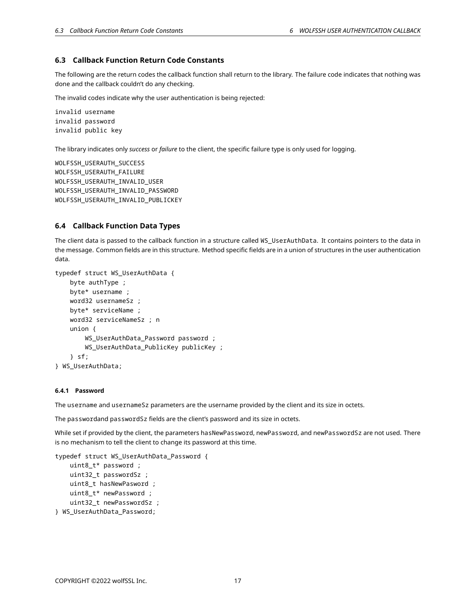# **6.3 Callback Function Return Code Constants**

The following are the return codes the callback function shall return to the library. The failure code indicates that nothing was done and the callback couldn't do any checking.

The invalid codes indicate why the user authentication is being rejected:

invalid username invalid password invalid public key

The library indicates only *success* or *failure* to the client, the specific failure type is only used for logging.

WOLFSSH\_USERAUTH\_SUCCESS WOLFSSH\_USERAUTH\_FAILURE WOLFSSH\_USERAUTH\_INVALID\_USER WOLFSSH\_USERAUTH\_INVALID\_PASSWORD WOLFSSH\_USERAUTH\_INVALID\_PUBLICKEY

# <span id="page-16-0"></span>**6.4 Callback Function Data Types**

The client data is passed to the callback function in a structure called WS\_UserAuthData. It contains pointers to the data in the message. Common fields are in this structure. Method specific fields are in a union of structures in the user authentication data.

```
typedef struct WS_UserAuthData {
    byte authType ;
   byte* username ;
   word32 usernameSz ;
    byte* serviceName ;
    word32 serviceNameSz ; n
    union {
        WS_UserAuthData_Password password ;
        WS_UserAuthData_PublicKey publicKey ;
    } sf;
} WS_UserAuthData;
```
### <span id="page-16-1"></span>**6.4.1 Password**

The username and usernameSz parameters are the username provided by the client and its size in octets.

The passwordand passwordSz fields are the client's password and its size in octets.

While set if provided by the client, the parameters hasNewPassword, newPassword, and newPasswordSz are not used. There is no mechanism to tell the client to change its password at this time.

```
typedef struct WS_UserAuthData_Password {
    uint8_t* password ;
    uint32_t passwordSz ;
    uint8_t hasNewPasword ;
    uint8_t* newPassword ;
    uint32_t newPasswordSz ;
} WS_UserAuthData_Password;
```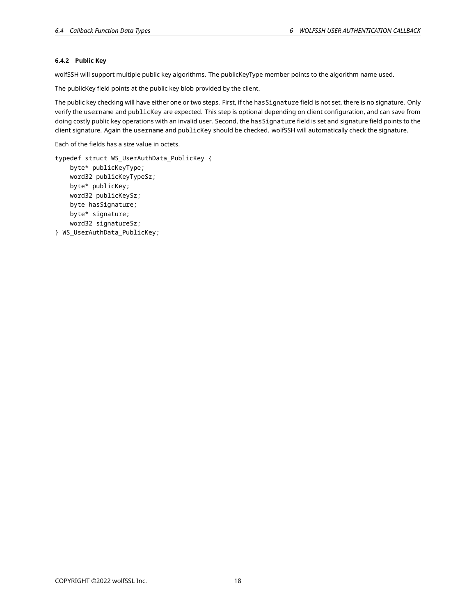# **6.4.2 Public Key**

wolfSSH will support multiple public key algorithms. The publicKeyType member points to the algorithm name used.

The publicKey field points at the public key blob provided by the client.

The public key checking will have either one or two steps. First, if the hasSignature field is not set, there is no signature. Only verify the username and publicKey are expected. This step is optional depending on client configuration, and can save from doing costly public key operations with an invalid user. Second, the hasSignature field is set and signature field points to the client signature. Again the username and publicKey should be checked. wolfSSH will automatically check the signature.

Each of the fields has a size value in octets.

```
typedef struct WS_UserAuthData_PublicKey {
    byte* publicKeyType;
    word32 publicKeyTypeSz;
   byte* publicKey;
    word32 publicKeySz;
    byte hasSignature;
   byte* signature;
    word32 signatureSz;
} WS_UserAuthData_PublicKey;
```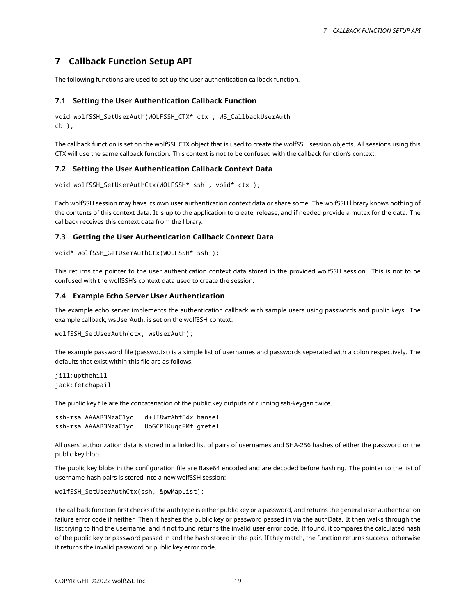# **7 Callback Function Setup API**

<span id="page-18-0"></span>The following functions are used to set up the user authentication callback function.

# **7.1 Setting the User Authentication Callback Function**

```
void wolfSSH_SetUserAuth(WOLFSSH_CTX* ctx , WS_CallbackUserAuth
cb );
```
The callback function is set on the wolfSSL CTX object that is used to create the wolfSSH session objects. All sessions using this CTX will use the same callback function. This context is not to be confused with the callback function's context.

# <span id="page-18-1"></span>**7.2 Setting the User Authentication Callback Context Data**

```
void wolfSSH_SetUserAuthCtx(WOLFSSH* ssh , void* ctx );
```
Each wolfSSH session may have its own user authentication context data or share some. The wolfSSH library knows nothing of the contents of this context data. It is up to the application to create, release, and if needed provide a mutex for the data. The callback receives this context data from the library.

# <span id="page-18-2"></span>**7.3 Getting the User Authentication Callback Context Data**

void\* wolfSSH\_GetUserAuthCtx(WOLFSSH\* ssh );

This returns the pointer to the user authentication context data stored in the provided wolfSSH session. This is not to be confused with the wolfSSH's context data used to create the session.

# <span id="page-18-3"></span>**7.4 Example Echo Server User Authentication**

The example echo server implements the authentication callback with sample users using passwords and public keys. The example callback, wsUserAuth, is set on the wolfSSH context:

```
wolfSSH_SetUserAuth(ctx, wsUserAuth);
```
The example password file (passwd.txt) is a simple list of usernames and passwords seperated with a colon respectively. The defaults that exist within this file are as follows.

jill:upthehill jack:fetchapail

The public key file are the concatenation of the public key outputs of running ssh-keygen twice.

```
ssh-rsa AAAAB3NzaC1yc...d+JI8wrAhfE4x hansel
ssh-rsa AAAAB3NzaC1yc...UoGCPIKuqcFMf gretel
```
All users' authorization data is stored in a linked list of pairs of usernames and SHA-256 hashes of either the password or the public key blob.

The public key blobs in the configuration file are Base64 encoded and are decoded before hashing. The pointer to the list of username-hash pairs is stored into a new wolfSSH session:

wolfSSH\_SetUserAuthCtx(ssh, &pwMapList);

<span id="page-18-4"></span>The callback function first checks if the authType is either public key or a password, and returns the general user authentication failure error code if neither. Then it hashes the public key or password passed in via the authData. It then walks through the list trying to find the username, and if not found returns the invalid user error code. If found, it compares the calculated hash of the public key or password passed in and the hash stored in the pair. If they match, the function returns success, otherwise it returns the invalid password or public key error code.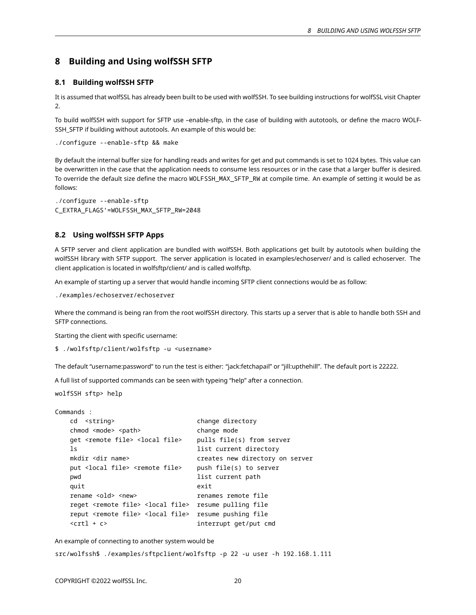# **8 Building and Using wolfSSH SFTP**

# <span id="page-19-0"></span>**8.1 Building wolfSSH SFTP**

It is assumed that wolfSSL has already been built to be used with wolfSSH. To see building instructions for wolfSSL visit Chapter 2.

To build wolfSSH with support for SFTP use –enable-sftp, in the case of building with autotools, or define the macro WOLF-SSH\_SFTP if building without autotools. An example of this would be:

./configure --enable-sftp && make

By default the internal buffer size for handling reads and writes for get and put commands is set to 1024 bytes. This value can be overwritten in the case that the application needs to consume less resources or in the case that a larger buffer is desired. To override the default size define the macro WOLFSSH\_MAX\_SFTP\_RW at compile time. An example of setting it would be as follows:

./configure --enable-sftp C\_EXTRA\_FLAGS'=WOLFSSH\_MAX\_SFTP\_RW=2048

# <span id="page-19-1"></span>**8.2 Using wolfSSH SFTP Apps**

A SFTP server and client application are bundled with wolfSSH. Both applications get built by autotools when building the wolfSSH library with SFTP support. The server application is located in examples/echoserver/ and is called echoserver. The client application is located in wolfsftp/client/ and is called wolfsftp.

An example of starting up a server that would handle incoming SFTP client connections would be as follow:

./examples/echoserver/echoserver

Where the command is being ran from the root wolfSSH directory. This starts up a server that is able to handle both SSH and SFTP connections.

Starting the client with specific username:

\$ ./wolfsftp/client/wolfsftp -u <username>

The default "username:password" to run the test is either: "jack:fetchapail" or "jill:upthehill". The default port is 22222.

A full list of supported commands can be seen with typeing "help" after a connection.

wolfSSH sftp> help

```
Commands :
```

```
cd <string> change directory
chmod <mode> <path>
change mode
get <remote file> <local file> pulls file(s) from server
ls list current directory
mkdir <dir name> creates new directory on server
put <local file> <remote file> push file(s) to server
pwd list current path
quit exit
rename <old> <new> renames remote file
reget <remote file> <local file> resume pulling file
reput <remote file> <local file> resume pushing file
<crtl + c> interrupt get/put cmd
```
An example of connecting to another system would be

<span id="page-19-2"></span>src/wolfssh\$ ./examples/sftpclient/wolfsftp -p 22 -u user -h 192.168.1.111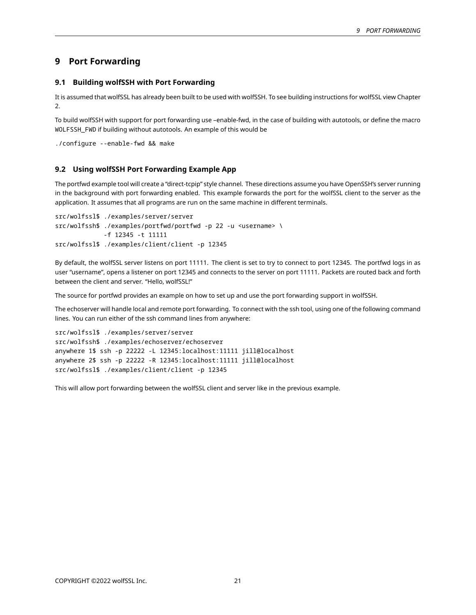# **9 Port Forwarding**

# <span id="page-20-0"></span>**9.1 Building wolfSSH with Port Forwarding**

It is assumed that wolfSSL has already been built to be used with wolfSSH. To see building instructions for wolfSSL view Chapter  $\mathcal{L}$ 

To build wolfSSH with support for port forwarding use –enable-fwd, in the case of building with autotools, or define the macro WOLFSSH\_FWD if building without autotools. An example of this would be

```
./configure --enable-fwd && make
```
# **9.2 Using wolfSSH Port Forwarding Example App**

The portfwd example tool will create a "direct-tcpip" style channel. These directions assume you have OpenSSH's server running in the background with port forwarding enabled. This example forwards the port for the wolfSSL client to the server as the application. It assumes that all programs are run on the same machine in different terminals.

```
src/wolfssl$ ./examples/server/server
src/wolfssh$ ./examples/portfwd/portfwd -p 22 -u <username> \
             -f 12345 -t 11111
src/wolfssl$ ./examples/client/client -p 12345
```
By default, the wolfSSL server listens on port 11111. The client is set to try to connect to port 12345. The portfwd logs in as user "username", opens a listener on port 12345 and connects to the server on port 11111. Packets are routed back and forth between the client and server. "Hello, wolfSSL!"

The source for portfwd provides an example on how to set up and use the port forwarding support in wolfSSH.

The echoserver will handle local and remote port forwarding. To connect with the ssh tool, using one of the following command lines. You can run either of the ssh command lines from anywhere:

```
src/wolfssl$ ./examples/server/server
src/wolfssh$ ./examples/echoserver/echoserver
anywhere 1$ ssh -p 22222 -L 12345:localhost:11111 jill@localhost
anywhere 2$ ssh -p 22222 -R 12345:localhost:11111 jill@localhost
src/wolfssl$ ./examples/client/client -p 12345
```
<span id="page-20-2"></span>This will allow port forwarding between the wolfSSL client and server like in the previous example.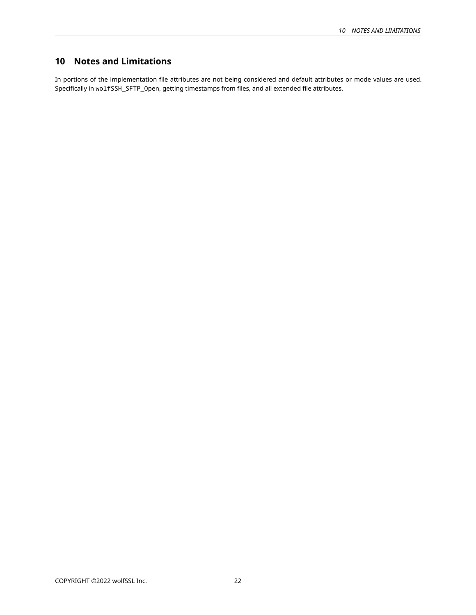# **10 Notes and Limitations**

<span id="page-21-0"></span>In portions of the implementation file attributes are not being considered and default attributes or mode values are used. Specifically in wolfSSH\_SFTP\_Open, getting timestamps from files, and all extended file attributes.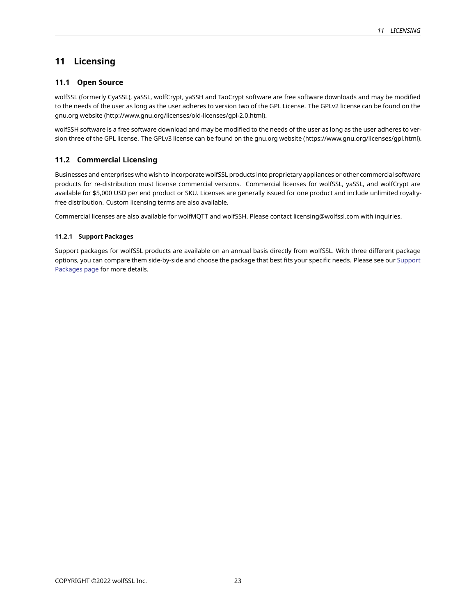# **11 Licensing**

# <span id="page-22-0"></span>**11.1 Open Source**

wolfSSL (formerly CyaSSL), yaSSL, wolfCrypt, yaSSH and TaoCrypt software are free software downloads and may be modified to the needs of the user as long as the user adheres to version two of the GPL License. The GPLv2 license can be found on the gnu.org website (http://www.gnu.org/licenses/old-licenses/gpl-2.0.html).

wolfSSH software is a free software download and may be modified to the needs of the user as long as the user adheres to version three of the GPL license. The GPLv3 license can be found on the gnu.org website (https://www.gnu.org/licenses/gpl.html).

# <span id="page-22-1"></span>**11.2 Commercial Licensing**

Businesses and enterprises who wish to incorporate wolfSSL products into proprietary appliances or other commercial software products for re-distribution must license commercial versions. Commercial licenses for wolfSSL, yaSSL, and wolfCrypt are available for \$5,000 USD per end product or SKU. Licenses are generally issued for one product and include unlimited royaltyfree distribution. Custom licensing terms are also available.

<span id="page-22-2"></span>Commercial licenses are also available for wolfMQTT and wolfSSH. Please contact licensing@wolfssl.com with inquiries.

# **11.2.1 Support Packages**

<span id="page-22-3"></span>Support packages for wolfSSL products are available on an annual basis directly from wolfSSL. With three different package options, you can compare them side-by-side and choose the package that best fits your specific needs. Please see our [Support](https://www.wolfssl.com/products/support-and-maintenance) [Packages page](https://www.wolfssl.com/products/support-and-maintenance) for more details.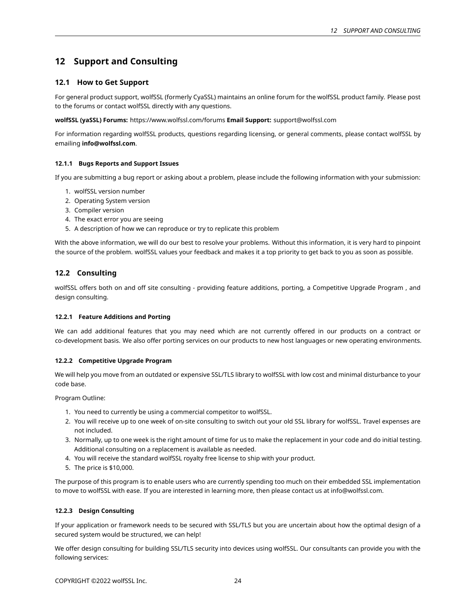# **12 Support and Consulting**

# <span id="page-23-0"></span>**12.1 How to Get Support**

For general product support, wolfSSL (formerly CyaSSL) maintains an online forum for the wolfSSL product family. Please post to the forums or contact wolfSSL directly with any questions.

**wolfSSL (yaSSL) Forums:** https://www.wolfssl.com/forums **Email Support:** support@wolfssl.com

For information regarding wolfSSL products, questions regarding licensing, or general comments, please contact wolfSSL by emailing **info@wolfssl.com**.

# <span id="page-23-1"></span>**12.1.1 Bugs Reports and Support Issues**

If you are submitting a bug report or asking about a problem, please include the following information with your submission:

- 1. wolfSSL version number
- 2. Operating System version
- 3. Compiler version
- 4. The exact error you are seeing
- 5. A description of how we can reproduce or try to replicate this problem

With the above information, we will do our best to resolve your problems. Without this information, it is very hard to pinpoint the source of the problem. wolfSSL values your feedback and makes it a top priority to get back to you as soon as possible.

# <span id="page-23-2"></span>**12.2 Consulting**

wolfSSL offers both on and off site consulting - providing feature additions, porting, a Competitive Upgrade Program , and design consulting.

# <span id="page-23-3"></span>**12.2.1 Feature Additions and Porting**

We can add additional features that you may need which are not currently offered in our products on a contract or co-development basis. We also offer porting services on our products to new host languages or new operating environments.

# <span id="page-23-4"></span>**12.2.2 Competitive Upgrade Program**

We will help you move from an outdated or expensive SSL/TLS library to wolfSSL with low cost and minimal disturbance to your code base.

Program Outline:

- 1. You need to currently be using a commercial competitor to wolfSSL.
- 2. You will receive up to one week of on-site consulting to switch out your old SSL library for wolfSSL. Travel expenses are not included.
- 3. Normally, up to one week is the right amount of time for us to make the replacement in your code and do initial testing. Additional consulting on a replacement is available as needed.
- 4. You will receive the standard wolfSSL royalty free license to ship with your product.
- 5. The price is \$10,000.

The purpose of this program is to enable users who are currently spending too much on their embedded SSL implementation to move to wolfSSL with ease. If you are interested in learning more, then please contact us at info@wolfssl.com.

# <span id="page-23-5"></span>**12.2.3 Design Consulting**

If your application or framework needs to be secured with SSL/TLS but you are uncertain about how the optimal design of a secured system would be structured, we can help!

We offer design consulting for building SSL/TLS security into devices using wolfSSL. Our consultants can provide you with the following services:

<span id="page-23-6"></span>COPYRIGHT ©2022 wolfSSL Inc. 24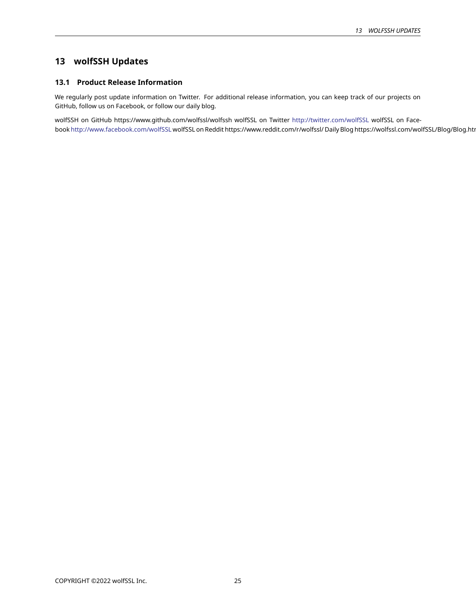# **13 wolfSSH Updates**

# <span id="page-24-0"></span>**13.1 Product Release Information**

We regularly post update information on Twitter. For additional release information, you can keep track of our projects on GitHub, follow us on Facebook, or follow our daily blog.

<span id="page-24-1"></span>wolfSSH on GitHub https://www.github.com/wolfssl/wolfssh wolfSSL on Twitter <http://twitter.com/wolfSSL> wolfSSL on Facebook <http://www.facebook.com/wolfSSL> wolfSSL on Reddit https://www.reddit.com/r/wolfssl/ Daily Blog https://wolfssl.com/wolfSSL/Blog/Blog.hti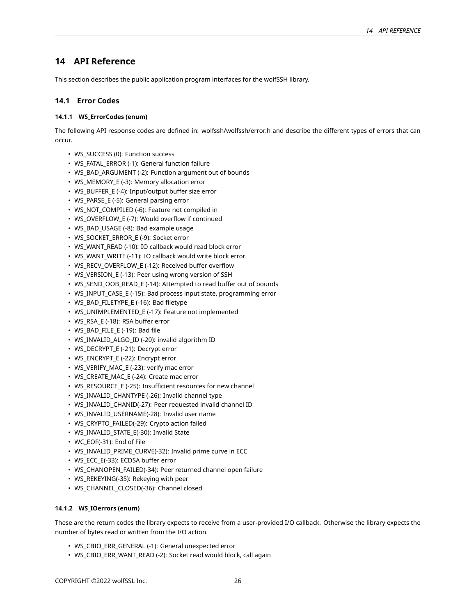# **14 API Reference**

<span id="page-25-0"></span>This section describes the public application program interfaces for the wolfSSH library.

# **14.1 Error Codes**

# <span id="page-25-1"></span>**14.1.1 WS\_ErrorCodes (enum)**

The following API response codes are defined in: wolfssh/wolfssh/error.h and describe the different types of errors that can occur.

- WS\_SUCCESS (0): Function success
- WS\_FATAL\_ERROR (-1): General function failure
- WS\_BAD\_ARGUMENT (-2): Function argument out of bounds
- WS\_MEMORY\_E (-3): Memory allocation error
- WS\_BUFFER\_E (-4): Input/output buffer size error
- WS\_PARSE\_E (-5): General parsing error
- WS\_NOT\_COMPILED (-6): Feature not compiled in
- WS\_OVERFLOW\_E (-7): Would overflow if continued
- WS\_BAD\_USAGE (-8): Bad example usage
- WS\_SOCKET\_ERROR\_E (-9): Socket error
- WS\_WANT\_READ (-10): IO callback would read block error
- WS\_WANT\_WRITE (-11): IO callback would write block error
- WS\_RECV\_OVERFLOW\_E (-12): Received buffer overflow
- WS\_VERSION\_E (-13): Peer using wrong version of SSH
- WS\_SEND\_OOB\_READ\_E (-14): Attempted to read buffer out of bounds
- WS\_INPUT\_CASE\_E (-15): Bad process input state, programming error
- WS\_BAD\_FILETYPE\_E (-16): Bad filetype
- WS\_UNIMPLEMENTED\_E (-17): Feature not implemented
- WS\_RSA\_E (-18): RSA buffer error
- WS\_BAD\_FILE\_E (-19): Bad file
- WS\_INVALID\_ALGO\_ID (-20): invalid algorithm ID
- WS\_DECRYPT\_E (-21): Decrypt error
- WS\_ENCRYPT\_E (-22): Encrypt error
- WS\_VERIFY\_MAC\_E (-23): verify mac error
- WS\_CREATE\_MAC\_E (-24): Create mac error
- WS\_RESOURCE\_E (-25): Insufficient resources for new channel
- WS\_INVALID\_CHANTYPE (-26): Invalid channel type
- WS\_INVALID\_CHANID(-27): Peer requested invalid channel ID
- WS\_INVALID\_USERNAME(-28): Invalid user name
- WS\_CRYPTO\_FAILED(-29): Crypto action failed
- WS\_INVALID\_STATE\_E(-30): Invalid State
- WC\_EOF(-31): End of File
- WS\_INVALID\_PRIME\_CURVE(-32): Invalid prime curve in ECC
- WS\_ECC\_E(-33): ECDSA buffer error
- WS\_CHANOPEN\_FAILED(-34): Peer returned channel open failure
- WS\_REKEYING(-35): Rekeying with peer
- WS CHANNEL CLOSED(-36): Channel closed

# <span id="page-25-2"></span>**14.1.2 WS\_IOerrors (enum)**

These are the return codes the library expects to receive from a user-provided I/O callback. Otherwise the library expects the number of bytes read or written from the I/O action.

- WS\_CBIO\_ERR\_GENERAL (-1): General unexpected error
- WS\_CBIO\_ERR\_WANT\_READ (-2): Socket read would block, call again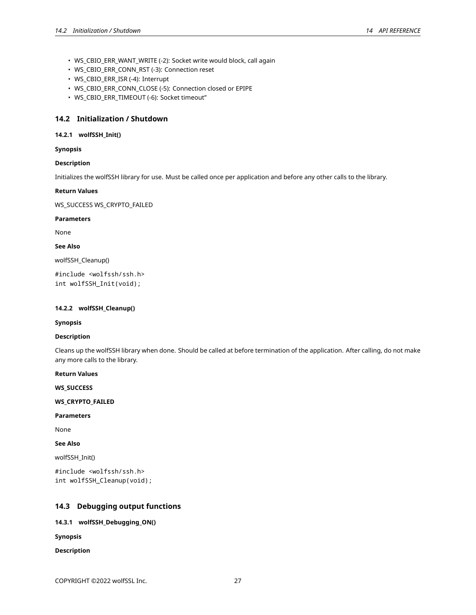- WS\_CBIO\_ERR\_WANT\_WRITE (-2): Socket write would block, call again
- WS\_CBIO\_ERR\_CONN\_RST (-3): Connection reset
- WS\_CBIO\_ERR\_ISR (-4): Interrupt
- WS\_CBIO\_ERR\_CONN\_CLOSE (-5): Connection closed or EPIPE
- WS\_CBIO\_ERR\_TIMEOUT (-6): Socket timeout"

# <span id="page-26-0"></span>**14.2 Initialization / Shutdown**

# <span id="page-26-1"></span>**14.2.1 wolfSSH\_Init()**

# **Synopsis**

# **Description**

Initializes the wolfSSH library for use. Must be called once per application and before any other calls to the library.

# **Return Values**

WS\_SUCCESS WS\_CRYPTO\_FAILED

# **Parameters**

None

**See Also**

wolfSSH\_Cleanup()

#include <wolfssh/ssh.h> int wolfSSH\_Init(void);

# <span id="page-26-2"></span>**14.2.2 wolfSSH\_Cleanup()**

# **Synopsis**

# **Description**

Cleans up the wolfSSH library when done. Should be called at before termination of the application. After calling, do not make any more calls to the library.

# **Return Values**

**WS\_SUCCESS**

**WS\_CRYPTO\_FAILED**

# **Parameters**

None

# **See Also**

wolfSSH\_Init()

```
#include <wolfssh/ssh.h>
int wolfSSH_Cleanup(void);
```
# <span id="page-26-3"></span>**14.3 Debugging output functions**

# <span id="page-26-4"></span>**14.3.1 wolfSSH\_Debugging\_ON()**

**Synopsis**

# **Description**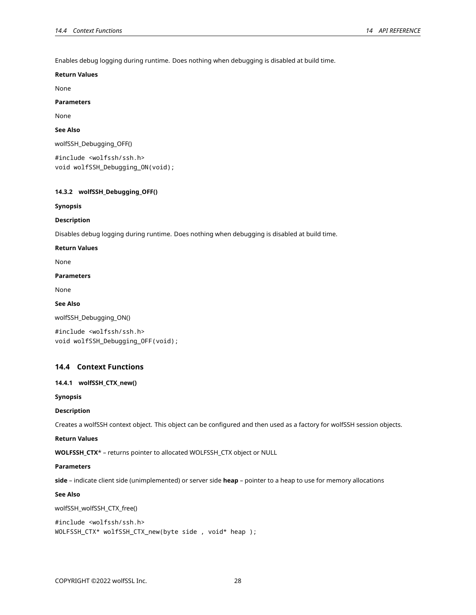Enables debug logging during runtime. Does nothing when debugging is disabled at build time.

### **Return Values**

None

# **Parameters**

None

# **See Also**

wolfSSH\_Debugging\_OFF()

#include <wolfssh/ssh.h> void wolfSSH\_Debugging\_ON(void);

# <span id="page-27-0"></span>**14.3.2 wolfSSH\_Debugging\_OFF()**

#### **Synopsis**

### **Description**

Disables debug logging during runtime. Does nothing when debugging is disabled at build time.

# **Return Values**

None

### **Parameters**

None

# **See Also**

wolfSSH\_Debugging\_ON()

```
#include <wolfssh/ssh.h>
void wolfSSH_Debugging_OFF(void);
```
# <span id="page-27-1"></span>**14.4 Context Functions**

### <span id="page-27-2"></span>**14.4.1 wolfSSH\_CTX\_new()**

**Synopsis**

### **Description**

Creates a wolfSSH context object. This object can be configured and then used as a factory for wolfSSH session objects.

#### **Return Values**

**WOLFSSH\_CTX**\* – returns pointer to allocated WOLFSSH\_CTX object or NULL

#### **Parameters**

**side** – indicate client side (unimplemented) or server side **heap** – pointer to a heap to use for memory allocations

# **See Also**

wolfSSH\_wolfSSH\_CTX\_free()

```
#include <wolfssh/ssh.h>
WOLFSSH_CTX* wolfSSH_CTX_new(byte side , void* heap );
```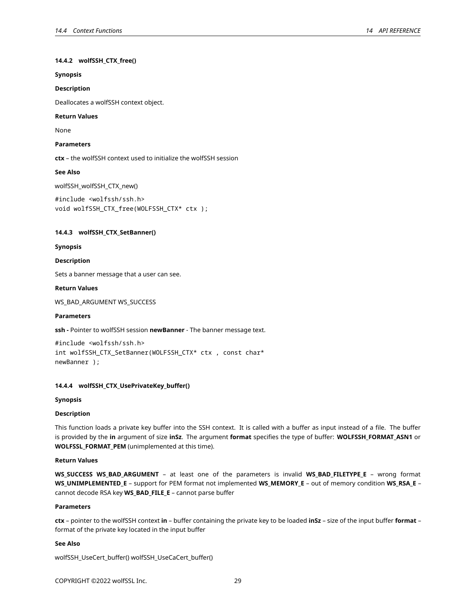# **14.4.2 wolfSSH\_CTX\_free()**

# **Synopsis**

### **Description**

Deallocates a wolfSSH context object.

### **Return Values**

None

# **Parameters**

**ctx** – the wolfSSH context used to initialize the wolfSSH session

# **See Also**

wolfSSH\_wolfSSH\_CTX\_new()

```
#include <wolfssh/ssh.h>
void wolfSSH_CTX_free(WOLFSSH_CTX* ctx );
```
### <span id="page-28-0"></span>**14.4.3 wolfSSH\_CTX\_SetBanner()**

**Synopsis**

### **Description**

Sets a banner message that a user can see.

### **Return Values**

WS\_BAD\_ARGUMENT WS\_SUCCESS

# **Parameters**

**ssh -** Pointer to wolfSSH session **newBanner** - The banner message text.

```
#include <wolfssh/ssh.h>
int wolfSSH_CTX_SetBanner(WOLFSSH_CTX* ctx , const char*
newBanner );
```
# <span id="page-28-1"></span>**14.4.4 wolfSSH\_CTX\_UsePrivateKey\_buffer()**

#### **Synopsis**

# **Description**

This function loads a private key buffer into the SSH context. It is called with a buffer as input instead of a file. The buffer is provided by the **in** argument of size **inSz**. The argument **format** specifies the type of buffer: **WOLFSSH\_FORMAT\_ASN1** or **WOLFSSL\_FORMAT\_PEM** (unimplemented at this time).

# **Return Values**

**WS\_SUCCESS WS\_BAD\_ARGUMENT** – at least one of the parameters is invalid **WS\_BAD\_FILETYPE\_E** – wrong format **WS\_UNIMPLEMENTED\_E** – support for PEM format not implemented **WS\_MEMORY\_E** – out of memory condition **WS\_RSA\_E** – cannot decode RSA key **WS\_BAD\_FILE\_E** – cannot parse buffer

### **Parameters**

**ctx** – pointer to the wolfSSH context **in** – buffer containing the private key to be loaded **inSz** – size of the input buffer **format** – format of the private key located in the input buffer

# **See Also**

wolfSSH\_UseCert\_buffer() wolfSSH\_UseCaCert\_buffer()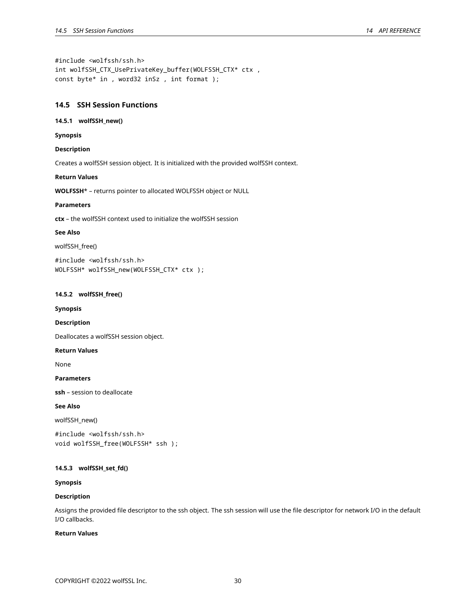#include <wolfssh/ssh.h> int wolfSSH\_CTX\_UsePrivateKey\_buffer(WOLFSSH\_CTX\* ctx , const byte\* in , word32 inSz , int format );

# <span id="page-29-0"></span>**14.5 SSH Session Functions**

# <span id="page-29-1"></span>**14.5.1 wolfSSH\_new()**

**Synopsis**

# **Description**

Creates a wolfSSH session object. It is initialized with the provided wolfSSH context.

# **Return Values**

**WOLFSSH**\* – returns pointer to allocated WOLFSSH object or NULL

# **Parameters**

**ctx** – the wolfSSH context used to initialize the wolfSSH session

# **See Also**

wolfSSH\_free()

#include <wolfssh/ssh.h> WOLFSSH\* wolfSSH\_new(WOLFSSH\_CTX\* ctx );

# <span id="page-29-2"></span>**14.5.2 wolfSSH\_free()**

**Synopsis**

#### **Description**

Deallocates a wolfSSH session object.

# **Return Values**

None

# **Parameters**

**ssh** – session to deallocate

# **See Also**

wolfSSH\_new()

```
#include <wolfssh/ssh.h>
void wolfSSH_free(WOLFSSH* ssh );
```
# <span id="page-29-3"></span>**14.5.3 wolfSSH\_set\_fd()**

# **Synopsis**

# **Description**

Assigns the provided file descriptor to the ssh object. The ssh session will use the file descriptor for network I/O in the default I/O callbacks.

# **Return Values**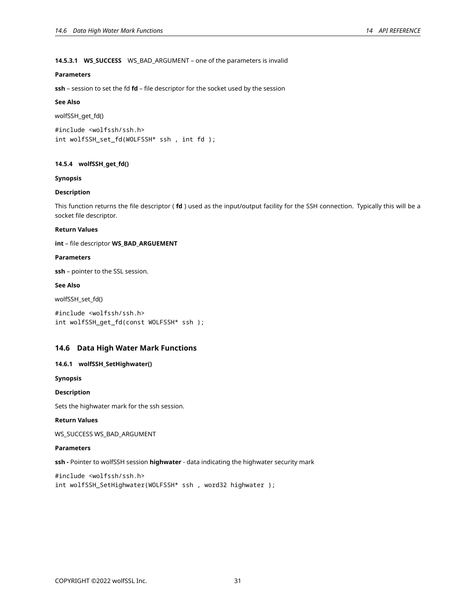# **14.5.3.1 WS\_SUCCESS** WS\_BAD\_ARGUMENT – one of the parameters is invalid

# **Parameters**

**ssh** – session to set the fd **fd** – file descriptor for the socket used by the session

# **See Also**

wolfSSH\_get\_fd()

#include <wolfssh/ssh.h> int wolfSSH\_set\_fd(WOLFSSH\* ssh , int fd );

# <span id="page-30-0"></span>**14.5.4 wolfSSH\_get\_fd()**

### **Synopsis**

# **Description**

This function returns the file descriptor ( **fd** ) used as the input/output facility for the SSH connection. Typically this will be a socket file descriptor.

# **Return Values**

**int** – file descriptor **WS\_BAD\_ARGUEMENT**

### **Parameters**

**ssh** – pointer to the SSL session.

# **See Also**

wolfSSH\_set\_fd()

#include <wolfssh/ssh.h> int wolfSSH\_get\_fd(const WOLFSSH\* ssh );

# <span id="page-30-1"></span>**14.6 Data High Water Mark Functions**

# <span id="page-30-2"></span>**14.6.1 wolfSSH\_SetHighwater()**

**Synopsis**

# **Description**

Sets the highwater mark for the ssh session.

#### **Return Values**

WS\_SUCCESS WS\_BAD\_ARGUMENT

# **Parameters**

**ssh -** Pointer to wolfSSH session **highwater** - data indicating the highwater security mark

<span id="page-30-3"></span>#include <wolfssh/ssh.h> int wolfSSH\_SetHighwater(WOLFSSH\* ssh , word32 highwater );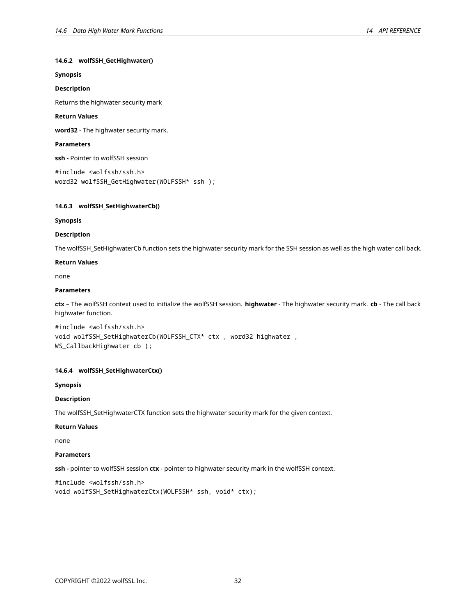# **14.6.2 wolfSSH\_GetHighwater()**

# **Synopsis**

# **Description**

Returns the highwater security mark

### **Return Values**

**word32** - The highwater security mark.

### **Parameters**

**ssh -** Pointer to wolfSSH session

```
#include <wolfssh/ssh.h>
word32 wolfSSH_GetHighwater(WOLFSSH* ssh );
```
### <span id="page-31-0"></span>**14.6.3 wolfSSH\_SetHighwaterCb()**

### **Synopsis**

### **Description**

The wolfSSH\_SetHighwaterCb function sets the highwater security mark for the SSH session as well as the high water call back.

### **Return Values**

none

# **Parameters**

**ctx** – The wolfSSH context used to initialize the wolfSSH session. **highwater** - The highwater security mark. **cb** - The call back highwater function.

#include <wolfssh/ssh.h> void wolfSSH\_SetHighwaterCb(WOLFSSH\_CTX\* ctx , word32 highwater , WS\_CallbackHighwater cb );

# <span id="page-31-1"></span>**14.6.4 wolfSSH\_SetHighwaterCtx()**

### **Synopsis**

# **Description**

The wolfSSH\_SetHighwaterCTX function sets the highwater security mark for the given context.

# **Return Values**

none

#### **Parameters**

**ssh -** pointer to wolfSSH session **ctx** - pointer to highwater security mark in the wolfSSH context.

```
#include <wolfssh/ssh.h>
void wolfSSH_SetHighwaterCtx(WOLFSSH* ssh, void* ctx);
```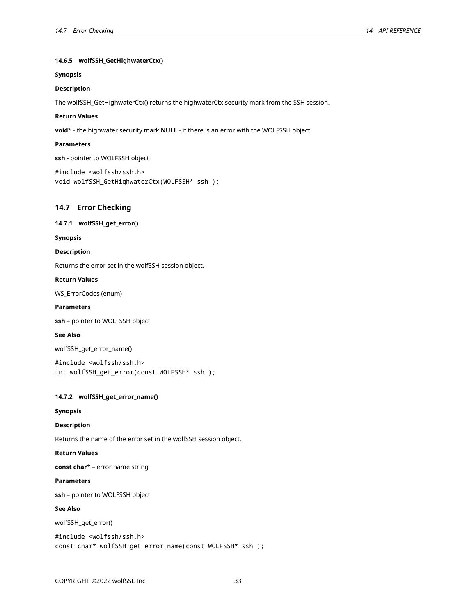# **14.6.5 wolfSSH\_GetHighwaterCtx()**

### **Synopsis**

# **Description**

The wolfSSH\_GetHighwaterCtx() returns the highwaterCtx security mark from the SSH session.

### **Return Values**

**void**\* - the highwater security mark **NULL** - if there is an error with the WOLFSSH object.

### **Parameters**

**ssh -** pointer to WOLFSSH object

```
#include <wolfssh/ssh.h>
void wolfSSH_GetHighwaterCtx(WOLFSSH* ssh );
```
# <span id="page-32-0"></span>**14.7 Error Checking**

# <span id="page-32-1"></span>**14.7.1 wolfSSH\_get\_error()**

**Synopsis**

# **Description**

Returns the error set in the wolfSSH session object.

### **Return Values**

WS\_ErrorCodes (enum)

# **Parameters**

**ssh** – pointer to WOLFSSH object

# **See Also**

wolfSSH\_get\_error\_name()

#include <wolfssh/ssh.h> int wolfSSH\_get\_error(const WOLFSSH\* ssh );

# <span id="page-32-2"></span>**14.7.2 wolfSSH\_get\_error\_name()**

### **Synopsis**

# **Description**

Returns the name of the error set in the wolfSSH session object.

# **Return Values**

**const char**\* – error name string

#### **Parameters**

**ssh** – pointer to WOLFSSH object

# **See Also**

wolfSSH\_get\_error()

```
#include <wolfssh/ssh.h>
const char* wolfSSH_get_error_name(const WOLFSSH* ssh );
```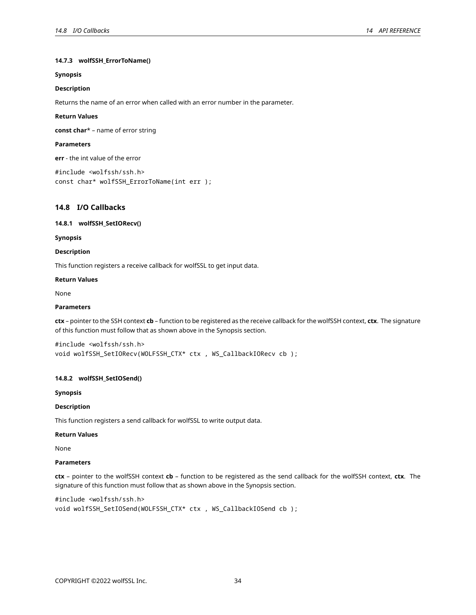# **14.7.3 wolfSSH\_ErrorToName()**

# **Synopsis**

### **Description**

Returns the name of an error when called with an error number in the parameter.

#### **Return Values**

**const char**\* – name of error string

### **Parameters**

**err** - the int value of the error

```
#include <wolfssh/ssh.h>
const char* wolfSSH_ErrorToName(int err );
```
# <span id="page-33-0"></span>**14.8 I/O Callbacks**

# <span id="page-33-1"></span>**14.8.1 wolfSSH\_SetIORecv()**

**Synopsis**

# **Description**

This function registers a receive callback for wolfSSL to get input data.

# **Return Values**

None

# **Parameters**

**ctx** – pointer to the SSH context **cb** – function to be registered as the receive callback for the wolfSSH context, **ctx**. The signature of this function must follow that as shown above in the Synopsis section.

```
#include <wolfssh/ssh.h>
void wolfSSH_SetIORecv(WOLFSSH_CTX* ctx , WS_CallbackIORecv cb );
```
# <span id="page-33-2"></span>**14.8.2 wolfSSH\_SetIOSend()**

**Synopsis**

# **Description**

This function registers a send callback for wolfSSL to write output data.

### **Return Values**

None

### **Parameters**

**ctx** – pointer to the wolfSSH context **cb** – function to be registered as the send callback for the wolfSSH context, **ctx**. The signature of this function must follow that as shown above in the Synopsis section.

```
#include <wolfssh/ssh.h>
void wolfSSH_SetIOSend(WOLFSSH_CTX* ctx , WS_CallbackIOSend cb );
```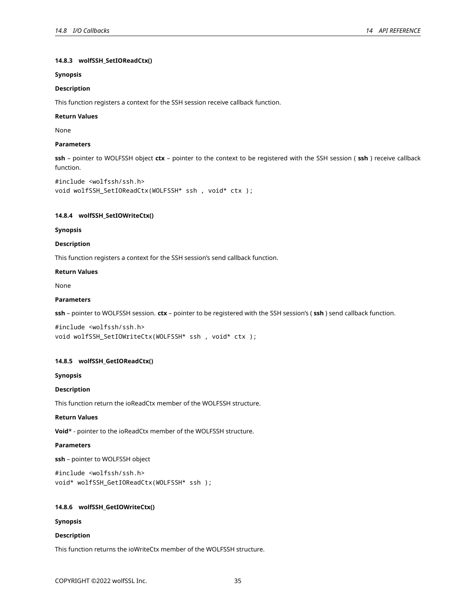# **14.8.3 wolfSSH\_SetIOReadCtx()**

# **Synopsis**

# **Description**

This function registers a context for the SSH session receive callback function.

### **Return Values**

None

# **Parameters**

**ssh** – pointer to WOLFSSH object **ctx** – pointer to the context to be registered with the SSH session ( **ssh** ) receive callback function.

```
#include <wolfssh/ssh.h>
void wolfSSH_SetIOReadCtx(WOLFSSH* ssh , void* ctx );
```
### <span id="page-34-0"></span>**14.8.4 wolfSSH\_SetIOWriteCtx()**

### **Synopsis**

### **Description**

This function registers a context for the SSH session's send callback function.

# **Return Values**

None

# **Parameters**

**ssh** – pointer to WOLFSSH session. **ctx** – pointer to be registered with the SSH session's ( **ssh** ) send callback function.

```
#include <wolfssh/ssh.h>
void wolfSSH_SetIOWriteCtx(WOLFSSH* ssh , void* ctx );
```
# <span id="page-34-1"></span>**14.8.5 wolfSSH\_GetIOReadCtx()**

# **Synopsis**

# **Description**

This function return the ioReadCtx member of the WOLFSSH structure.

# **Return Values**

**Void**\* - pointer to the ioReadCtx member of the WOLFSSH structure.

# **Parameters**

**ssh** – pointer to WOLFSSH object

```
#include <wolfssh/ssh.h>
void* wolfSSH_GetIOReadCtx(WOLFSSH* ssh );
```
# <span id="page-34-2"></span>**14.8.6 wolfSSH\_GetIOWriteCtx()**

# **Synopsis**

# **Description**

This function returns the ioWriteCtx member of the WOLFSSH structure.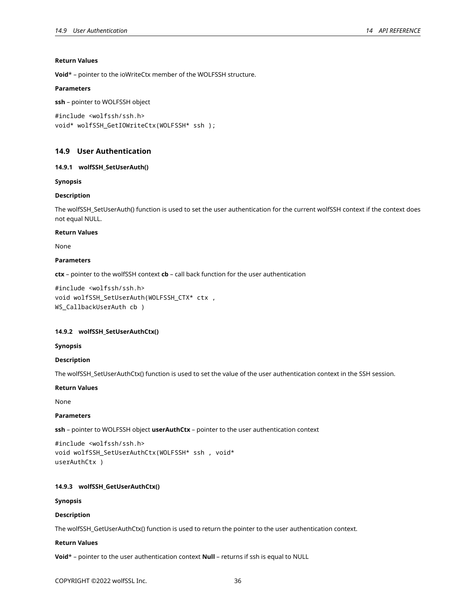# **Return Values**

**Void**\* – pointer to the ioWriteCtx member of the WOLFSSH structure.

### **Parameters**

```
ssh – pointer to WOLFSSH object
```

```
#include <wolfssh/ssh.h>
void* wolfSSH GetIOWriteCtx(WOLFSSH* ssh );
```
# <span id="page-35-0"></span>**14.9 User Authentication**

### <span id="page-35-1"></span>**14.9.1 wolfSSH\_SetUserAuth()**

### **Synopsis**

# **Description**

The wolfSSH\_SetUserAuth() function is used to set the user authentication for the current wolfSSH context if the context does not equal NULL.

#### **Return Values**

None

# **Parameters**

**ctx** – pointer to the wolfSSH context **cb** – call back function for the user authentication

```
#include <wolfssh/ssh.h>
void wolfSSH_SetUserAuth(WOLFSSH_CTX* ctx ,
WS_CallbackUserAuth cb )
```
# <span id="page-35-2"></span>**14.9.2 wolfSSH\_SetUserAuthCtx()**

### **Synopsis**

#### **Description**

The wolfSSH\_SetUserAuthCtx() function is used to set the value of the user authentication context in the SSH session.

### **Return Values**

None

# **Parameters**

**ssh** – pointer to WOLFSSH object **userAuthCtx** – pointer to the user authentication context

```
#include <wolfssh/ssh.h>
void wolfSSH_SetUserAuthCtx(WOLFSSH* ssh , void*
userAuthCtx )
```
# <span id="page-35-3"></span>**14.9.3 wolfSSH\_GetUserAuthCtx()**

### **Synopsis**

# **Description**

The wolfSSH\_GetUserAuthCtx() function is used to return the pointer to the user authentication context.

#### **Return Values**

**Void**\* – pointer to the user authentication context **Null** – returns if ssh is equal to NULL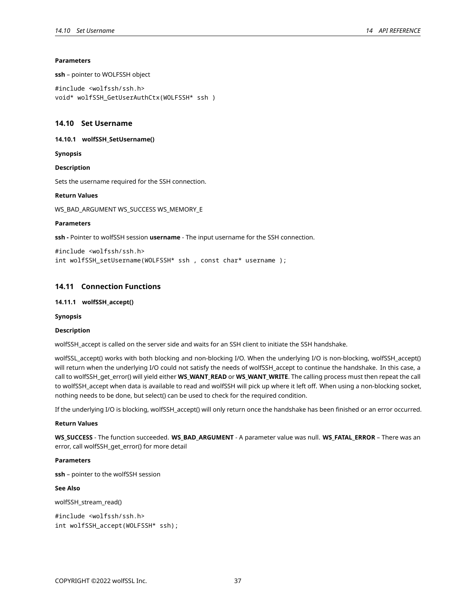### **Parameters**

**ssh** – pointer to WOLFSSH object

```
#include <wolfssh/ssh.h>
void* wolfSSH_GetUserAuthCtx(WOLFSSH* ssh )
```
# <span id="page-36-0"></span>**14.10 Set Username**

<span id="page-36-1"></span>**14.10.1 wolfSSH\_SetUsername()**

**Synopsis**

**Description**

Sets the username required for the SSH connection.

### **Return Values**

WS\_BAD\_ARGUMENT WS\_SUCCESS WS\_MEMORY\_E

#### **Parameters**

**ssh -** Pointer to wolfSSH session **username** - The input username for the SSH connection.

```
#include <wolfssh/ssh.h>
int wolfSSH_setUsername(WOLFSSH* ssh , const char* username );
```
# <span id="page-36-2"></span>**14.11 Connection Functions**

### <span id="page-36-3"></span>**14.11.1 wolfSSH\_accept()**

**Synopsis**

#### **Description**

wolfSSH\_accept is called on the server side and waits for an SSH client to initiate the SSH handshake.

wolfSSL\_accept() works with both blocking and non-blocking I/O. When the underlying I/O is non-blocking, wolfSSH\_accept() will return when the underlying I/O could not satisfy the needs of wolfSSH\_accept to continue the handshake. In this case, a call to wolfSSH\_get\_error() will yield either **WS\_WANT\_READ** or **WS\_WANT\_WRITE**. The calling process must then repeat the call to wolfSSH\_accept when data is available to read and wolfSSH will pick up where it left off. When using a non-blocking socket, nothing needs to be done, but select() can be used to check for the required condition.

If the underlying I/O is blocking, wolfSSH\_accept() will only return once the handshake has been finished or an error occurred.

### **Return Values**

**WS\_SUCCESS** - The function succeeded. **WS\_BAD\_ARGUMENT** - A parameter value was null. **WS\_FATAL\_ERROR** – There was an error, call wolfSSH\_get\_error() for more detail

### **Parameters**

**ssh** – pointer to the wolfSSH session

# **See Also**

wolfSSH\_stream\_read()

<span id="page-36-4"></span>#include <wolfssh/ssh.h> int wolfSSH\_accept(WOLFSSH\* ssh);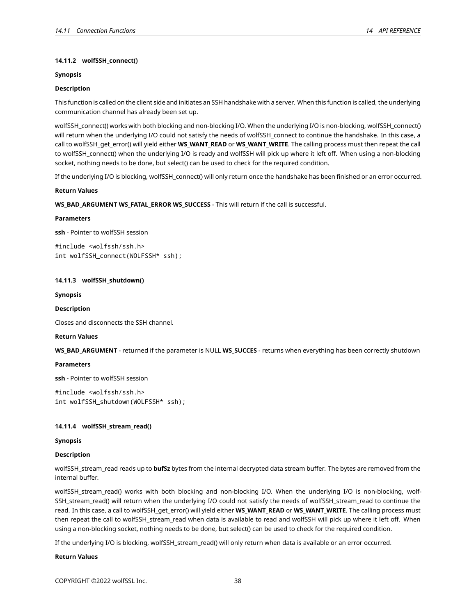# **14.11.2 wolfSSH\_connect()**

# **Synopsis**

# **Description**

This function is called on the client side and initiates an SSH handshake with a server. When this function is called, the underlying communication channel has already been set up.

wolfSSH\_connect() works with both blocking and non-blocking I/O. When the underlying I/O is non-blocking, wolfSSH\_connect() will return when the underlying I/O could not satisfy the needs of wolfSSH\_connect to continue the handshake. In this case, a call to wolfSSH\_get\_error() will yield either **WS\_WANT\_READ** or **WS\_WANT\_WRITE**. The calling process must then repeat the call to wolfSSH\_connect() when the underlying I/O is ready and wolfSSH will pick up where it left off. When using a non-blocking socket, nothing needs to be done, but select() can be used to check for the required condition.

If the underlying I/O is blocking, wolfSSH\_connect() will only return once the handshake has been finished or an error occurred.

# **Return Values**

**WS\_BAD\_ARGUMENT WS\_FATAL\_ERROR WS\_SUCCESS** - This will return if the call is successful.

### **Parameters**

**ssh** - Pointer to wolfSSH session

#include <wolfssh/ssh.h> int wolfSSH\_connect(WOLFSSH\* ssh);

# <span id="page-37-0"></span>**14.11.3 wolfSSH\_shutdown()**

**Synopsis**

### **Description**

Closes and disconnects the SSH channel.

# **Return Values**

**WS\_BAD\_ARGUMENT** - returned if the parameter is NULL **WS\_SUCCES** - returns when everything has been correctly shutdown

# **Parameters**

**ssh -** Pointer to wolfSSH session

#include <wolfssh/ssh.h> int wolfSSH\_shutdown(WOLFSSH\* ssh);

# <span id="page-37-1"></span>**14.11.4 wolfSSH\_stream\_read()**

# **Synopsis**

# **Description**

wolfSSH\_stream\_read reads up to **bufSz** bytes from the internal decrypted data stream buffer. The bytes are removed from the internal buffer.

wolfSSH\_stream\_read() works with both blocking and non-blocking I/O. When the underlying I/O is non-blocking, wolf-SSH\_stream\_read() will return when the underlying I/O could not satisfy the needs of wolfSSH\_stream\_read to continue the read. In this case, a call to wolfSSH\_get\_error() will yield either WS\_WANT\_READ or WS\_WANT\_WRITE. The calling process must then repeat the call to wolfSSH\_stream\_read when data is available to read and wolfSSH will pick up where it left off. When using a non-blocking socket, nothing needs to be done, but select() can be used to check for the required condition.

If the underlying I/O is blocking, wolfSSH\_stream\_read() will only return when data is available or an error occurred.

# **Return Values**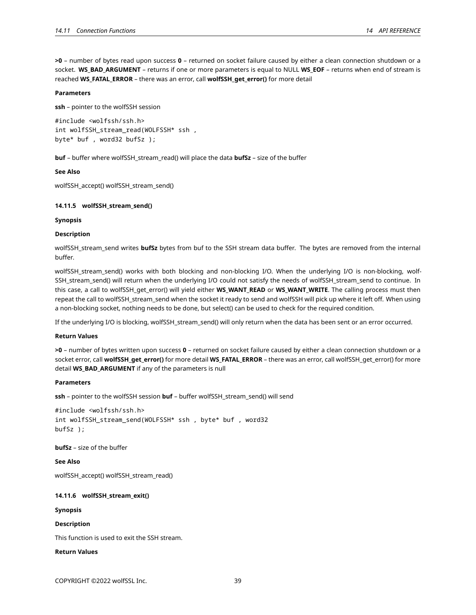**>0** – number of bytes read upon success **0** – returned on socket failure caused by either a clean connection shutdown or a socket. **WS\_BAD\_ARGUMENT** – returns if one or more parameters is equal to NULL **WS\_EOF** – returns when end of stream is reached **WS\_FATAL\_ERROR** – there was an error, call **wolfSSH\_get\_error()** for more detail

### **Parameters**

**ssh** – pointer to the wolfSSH session

#include <wolfssh/ssh.h> int wolfSSH stream read(WOLFSSH\* ssh, byte\* buf , word32 bufSz );

**buf** – buffer where wolfSSH\_stream\_read() will place the data **bufSz** – size of the buffer

**See Also**

<span id="page-38-0"></span>wolfSSH\_accept() wolfSSH\_stream\_send()

# **14.11.5 wolfSSH\_stream\_send()**

### **Synopsis**

# **Description**

wolfSSH\_stream\_send writes **bufSz** bytes from buf to the SSH stream data buffer. The bytes are removed from the internal buffer.

wolfSSH\_stream\_send() works with both blocking and non-blocking I/O. When the underlying I/O is non-blocking, wolf-SSH\_stream\_send() will return when the underlying I/O could not satisfy the needs of wolfSSH\_stream\_send to continue. In this case, a call to wolfSSH\_get\_error() will yield either **WS\_WANT\_READ** or **WS\_WANT\_WRITE**. The calling process must then repeat the call to wolfSSH\_stream\_send when the socket it ready to send and wolfSSH will pick up where it left off. When using a non-blocking socket, nothing needs to be done, but select() can be used to check for the required condition.

If the underlying I/O is blocking, wolfSSH\_stream\_send() will only return when the data has been sent or an error occurred.

#### **Return Values**

**>0** – number of bytes written upon success **0** – returned on socket failure caused by either a clean connection shutdown or a socket error, call **wolfSSH\_get\_error()** for more detail **WS\_FATAL\_ERROR** – there was an error, call wolfSSH\_get\_error() for more detail **WS\_BAD\_ARGUMENT** if any of the parameters is null

### **Parameters**

**ssh** – pointer to the wolfSSH session **buf** – buffer wolfSSH\_stream\_send() will send

```
#include <wolfssh/ssh.h>
int wolfSSH_stream_send(WOLFSSH* ssh , byte* buf , word32
bufSz );
```
**bufSz** – size of the buffer

# **See Also**

<span id="page-38-1"></span>wolfSSH\_accept() wolfSSH\_stream\_read()

# **14.11.6 wolfSSH\_stream\_exit()**

**Synopsis**

**Description**

This function is used to exit the SSH stream.

# **Return Values**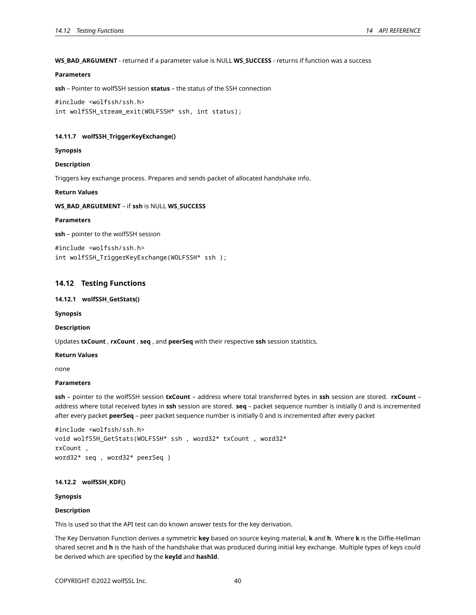### **WS\_BAD\_ARGUMENT** - returned if a parameter value is NULL **WS\_SUCCESS** - returns if function was a success

# **Parameters**

**ssh** – Pointer to wolfSSH session **status** – the status of the SSH connection

```
#include <wolfssh/ssh.h>
int wolfSSH_stream_exit(WOLFSSH* ssh, int status);
```
### <span id="page-39-0"></span>**14.11.7 wolfSSH\_TriggerKeyExchange()**

#### **Synopsis**

#### **Description**

Triggers key exchange process. Prepares and sends packet of allocated handshake info.

#### **Return Values**

**WS\_BAD\_ARGUEMENT** – if **ssh** is NULL **WS\_SUCCESS**

### **Parameters**

**ssh** – pointer to the wolfSSH session

#include <wolfssh/ssh.h> int wolfSSH\_TriggerKeyExchange(WOLFSSH\* ssh );

# <span id="page-39-1"></span>**14.12 Testing Functions**

# <span id="page-39-2"></span>**14.12.1 wolfSSH\_GetStats()**

**Synopsis**

### **Description**

Updates **txCount** , **rxCount** , **seq** , and **peerSeq** with their respective **ssh** session statistics.

**Return Values**

none

# **Parameters**

**ssh** – pointer to the wolfSSH session **txCount** – address where total transferred bytes in **ssh** session are stored. **rxCount** – address where total received bytes in **ssh** session are stored. **seq** – packet sequence number is initially 0 and is incremented after every packet **peerSeq** – peer packet sequence number is initially 0 and is incremented after every packet

```
#include <wolfssh/ssh.h>
void wolfSSH_GetStats(WOLFSSH* ssh , word32* txCount , word32*
rxCount ,
word32* seq , word32* peerSeq )
```
# <span id="page-39-3"></span>**14.12.2 wolfSSH\_KDF()**

**Synopsis**

### **Description**

This is used so that the API test can do known answer tests for the key derivation.

The Key Derivation Function derives a symmetric **key** based on source keying material, **k** and **h**. Where **k** is the Diffie-Hellman shared secret and **h** is the hash of the handshake that was produced during initial key exchange. Multiple types of keys could be derived which are specified by the **keyId** and **hashId**.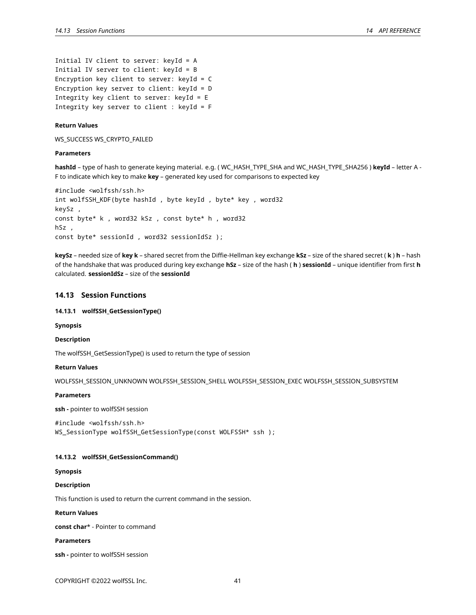```
Initial IV client to server: keyId = A
Initial IV server to client: keyId = B
Encryption key client to server: keyId = C
Encryption key server to client: keyId = D
Integrity key client to server: keyId = E
Integrity key server to client : keyId = F
```
### **Return Values**

WS\_SUCCESS WS\_CRYPTO\_FAILED

#### **Parameters**

**hashId** – type of hash to generate keying material. e.g. ( WC\_HASH\_TYPE\_SHA and WC\_HASH\_TYPE\_SHA256 ) **keyId** – letter A - F to indicate which key to make **key** – generated key used for comparisons to expected key

```
#include <wolfssh/ssh.h>
int wolfSSH_KDF(byte hashId , byte keyId , byte* key , word32
keySz ,
const byte* k , word32 kSz , const byte* h , word32
hSz ,
const byte* sessionId , word32 sessionIdSz );
```
**keySz** – needed size of **key k** – shared secret from the Diffie-Hellman key exchange **kSz** – size of the shared secret ( **k** ) **h** – hash of the handshake that was produced during key exchange **hSz** – size of the hash ( **h** ) **sessionId** – unique identifier from first **h** calculated. **sessionIdSz** – size of the **sessionId**

# <span id="page-40-0"></span>**14.13 Session Functions**

# <span id="page-40-1"></span>**14.13.1 wolfSSH\_GetSessionType()**

**Synopsis**

#### **Description**

The wolfSSH\_GetSessionType() is used to return the type of session

# **Return Values**

WOLFSSH\_SESSION\_UNKNOWN WOLFSSH\_SESSION\_SHELL WOLFSSH\_SESSION\_EXEC WOLFSSH\_SESSION\_SUBSYSTEM

#### **Parameters**

**ssh -** pointer to wolfSSH session

#include <wolfssh/ssh.h> WS\_SessionType wolfSSH\_GetSessionType(const WOLFSSH\* ssh );

# <span id="page-40-2"></span>**14.13.2 wolfSSH\_GetSessionCommand()**

#### **Synopsis**

### **Description**

This function is used to return the current command in the session.

# **Return Values**

**const char**\* - Pointer to command

### **Parameters**

**ssh -** pointer to wolfSSH session

COPYRIGHT ©2022 wolfSSL Inc. 41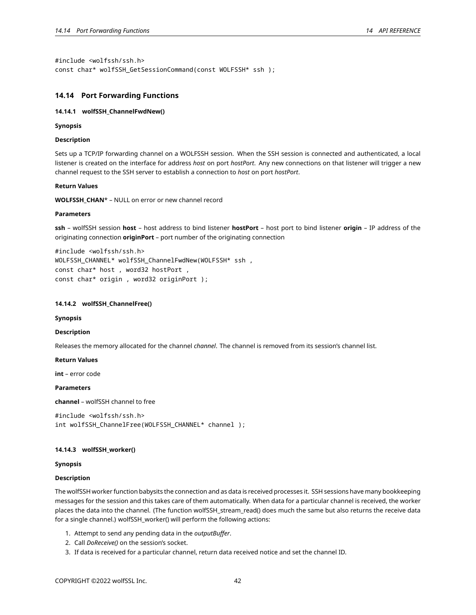#include <wolfssh/ssh.h> const char\* wolfSSH\_GetSessionCommand(const WOLFSSH\* ssh );

# <span id="page-41-0"></span>**14.14 Port Forwarding Functions**

### <span id="page-41-1"></span>**14.14.1 wolfSSH\_ChannelFwdNew()**

### **Synopsis**

# **Description**

Sets up a TCP/IP forwarding channel on a WOLFSSH session. When the SSH session is connected and authenticated, a local listener is created on the interface for address *host* on port *hostPort*. Any new connections on that listener will trigger a new channel request to the SSH server to establish a connection to *host* on port *hostPort*.

### **Return Values**

**WOLFSSH\_CHAN**\* – NULL on error or new channel record

### **Parameters**

**ssh** – wolfSSH session **host** – host address to bind listener **hostPort** – host port to bind listener **origin** – IP address of the originating connection **originPort** – port number of the originating connection

```
#include <wolfssh/ssh.h>
WOLFSSH_CHANNEL* wolfSSH_ChannelFwdNew(WOLFSSH* ssh ,
const char* host , word32 hostPort ,
const char* origin , word32 originPort );
```
### <span id="page-41-2"></span>**14.14.2 wolfSSH\_ChannelFree()**

#### **Synopsis**

# **Description**

Releases the memory allocated for the channel *channel*. The channel is removed from its session's channel list.

#### **Return Values**

**int** – error code

# **Parameters**

**channel** – wolfSSH channel to free

```
#include <wolfssh/ssh.h>
int wolfSSH_ChannelFree(WOLFSSH_CHANNEL* channel );
```
### <span id="page-41-3"></span>**14.14.3 wolfSSH\_worker()**

### **Synopsis**

### **Description**

The wolfSSH worker function babysits the connection and as data is received processes it. SSH sessions have many bookkeeping messages for the session and this takes care of them automatically. When data for a particular channel is received, the worker places the data into the channel. (The function wolfSSH\_stream\_read() does much the same but also returns the receive data for a single channel.) wolfSSH\_worker() will perform the following actions:

- 1. Attempt to send any pending data in the *outputBuffer*.
- 2. Call *DoReceive()* on the session's socket.
- 3. If data is received for a particular channel, return data received notice and set the channel ID.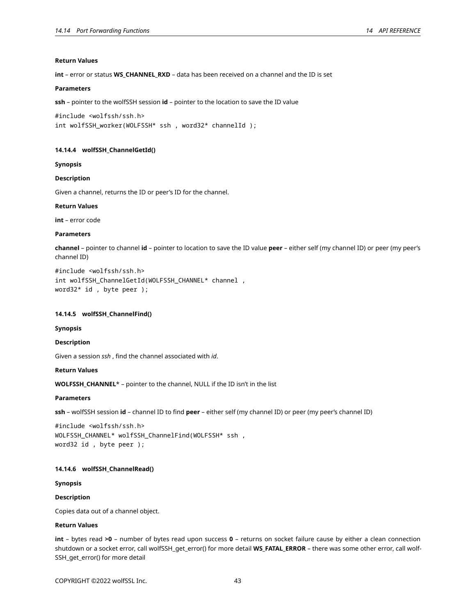# **Return Values**

**int** – error or status **WS\_CHANNEL\_RXD** – data has been received on a channel and the ID is set

# **Parameters**

**ssh** – pointer to the wolfSSH session **id** – pointer to the location to save the ID value

#include <wolfssh/ssh.h> int wolfSSH\_worker(WOLFSSH\* ssh , word32\* channelId );

# <span id="page-42-0"></span>**14.14.4 wolfSSH\_ChannelGetId()**

**Synopsis**

# **Description**

Given a channel, returns the ID or peer's ID for the channel.

### **Return Values**

**int** – error code

### **Parameters**

**channel** – pointer to channel **id** – pointer to location to save the ID value **peer** – either self (my channel ID) or peer (my peer's channel ID)

#include <wolfssh/ssh.h> int wolfSSH\_ChannelGetId(WOLFSSH\_CHANNEL\* channel , word32\* id , byte peer );

### <span id="page-42-1"></span>**14.14.5 wolfSSH\_ChannelFind()**

#### **Synopsis**

#### **Description**

Given a session *ssh* , find the channel associated with *id*.

#### **Return Values**

**WOLFSSH\_CHANNEL**\* – pointer to the channel, NULL if the ID isn't in the list

# **Parameters**

**ssh** – wolfSSH session **id** – channel ID to find **peer** – either self (my channel ID) or peer (my peer's channel ID)

#include <wolfssh/ssh.h> WOLFSSH\_CHANNEL\* wolfSSH\_ChannelFind(WOLFSSH\* ssh , word32 id , byte peer );

#### <span id="page-42-2"></span>**14.14.6 wolfSSH\_ChannelRead()**

#### **Synopsis**

# **Description**

Copies data out of a channel object.

# **Return Values**

**int** – bytes read **>0** – number of bytes read upon success **0** – returns on socket failure cause by either a clean connection shutdown or a socket error, call wolfSSH\_get\_error() for more detail **WS\_FATAL\_ERROR** – there was some other error, call wolf-SSH\_get\_error() for more detail

COPYRIGHT ©2022 wolfSSL Inc. 43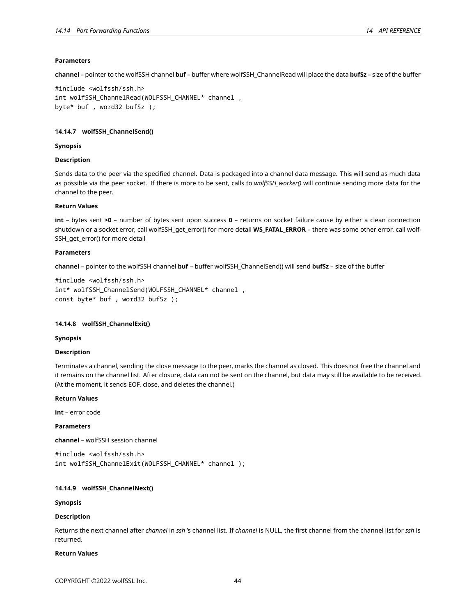### **Parameters**

**channel** – pointer to the wolfSSH channel **buf** – buffer where wolfSSH\_ChannelRead will place the data **bufSz** – size of the buffer

```
#include <wolfssh/ssh.h>
int wolfSSH_ChannelRead(WOLFSSH_CHANNEL* channel ,
byte* buf , word32 bufSz );
```
# <span id="page-43-0"></span>**14.14.7 wolfSSH\_ChannelSend()**

### **Synopsis**

### **Description**

Sends data to the peer via the specified channel. Data is packaged into a channel data message. This will send as much data as possible via the peer socket. If there is more to be sent, calls to *wolfSSH\_worker()* will continue sending more data for the channel to the peer.

#### **Return Values**

**int** – bytes sent **>0** – number of bytes sent upon success **0** – returns on socket failure cause by either a clean connection shutdown or a socket error, call wolfSSH\_get\_error() for more detail **WS\_FATAL\_ERROR** – there was some other error, call wolf-SSH\_get\_error() for more detail

### **Parameters**

**channel** – pointer to the wolfSSH channel **buf** – buffer wolfSSH\_ChannelSend() will send **bufSz** – size of the buffer

```
#include <wolfssh/ssh.h>
int* wolfSSH_ChannelSend(WOLFSSH_CHANNEL* channel ,
const byte* buf , word32 bufSz );
```
#### <span id="page-43-1"></span>**14.14.8 wolfSSH\_ChannelExit()**

### **Synopsis**

#### **Description**

Terminates a channel, sending the close message to the peer, marks the channel as closed. This does not free the channel and it remains on the channel list. After closure, data can not be sent on the channel, but data may still be available to be received. (At the moment, it sends EOF, close, and deletes the channel.)

# **Return Values**

**int** – error code

# **Parameters**

**channel** – wolfSSH session channel

#include <wolfssh/ssh.h> int wolfSSH\_ChannelExit(WOLFSSH\_CHANNEL\* channel );

### <span id="page-43-2"></span>**14.14.9 wolfSSH\_ChannelNext()**

### **Synopsis**

### **Description**

Returns the next channel after *channel* in *ssh* 's channel list. If *channel* is NULL, the first channel from the channel list for *ssh* is returned.

### **Return Values**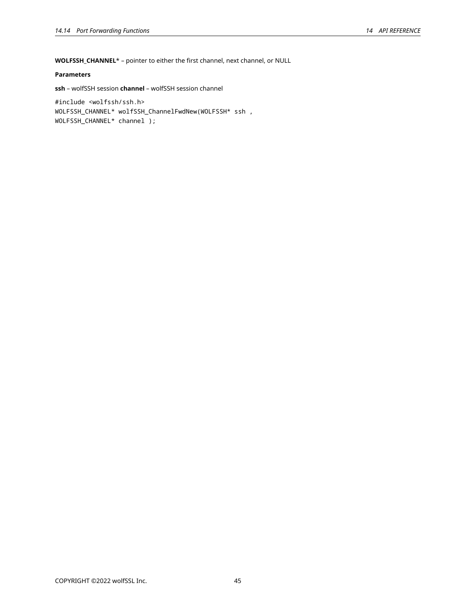**WOLFSSH\_CHANNEL**\* – pointer to either the first channel, next channel, or NULL

# **Parameters**

**ssh** – wolfSSH session **channel** – wolfSSH session channel

<span id="page-44-0"></span>#include <wolfssh/ssh.h> WOLFSSH\_CHANNEL\* wolfSSH\_ChannelFwdNew(WOLFSSH\* ssh , WOLFSSH\_CHANNEL\* channel );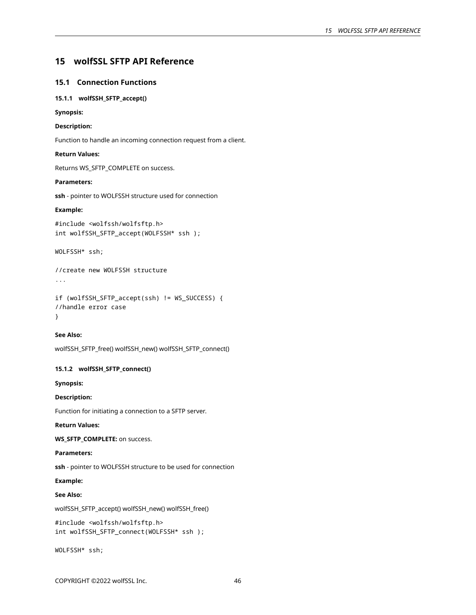# **15 wolfSSL SFTP API Reference**

# <span id="page-45-0"></span>**15.1 Connection Functions**

# <span id="page-45-1"></span>**15.1.1 wolfSSH\_SFTP\_accept()**

# **Synopsis:**

# **Description:**

Function to handle an incoming connection request from a client.

# **Return Values:**

Returns WS\_SFTP\_COMPLETE on success.

#### **Parameters:**

**ssh** - pointer to WOLFSSH structure used for connection

# **Example:**

#include <wolfssh/wolfsftp.h> int wolfSSH\_SFTP\_accept(WOLFSSH\* ssh );

WOLFSSH\* ssh;

//create new WOLFSSH structure

```
...
```
if (wolfSSH\_SFTP\_accept(ssh) != WS\_SUCCESS) { //handle error case }

### **See Also:**

<span id="page-45-2"></span>wolfSSH\_SFTP\_free() wolfSSH\_new() wolfSSH\_SFTP\_connect()

# **15.1.2 wolfSSH\_SFTP\_connect()**

**Synopsis:**

# **Description:**

Function for initiating a connection to a SFTP server.

# **Return Values:**

**WS\_SFTP\_COMPLETE:** on success.

# **Parameters:**

**ssh** - pointer to WOLFSSH structure to be used for connection

# **Example:**

# **See Also:**

wolfSSH\_SFTP\_accept() wolfSSH\_new() wolfSSH\_free()

```
#include <wolfssh/wolfsftp.h>
int wolfSSH_SFTP_connect(WOLFSSH* ssh );
```
WOLFSSH\* ssh;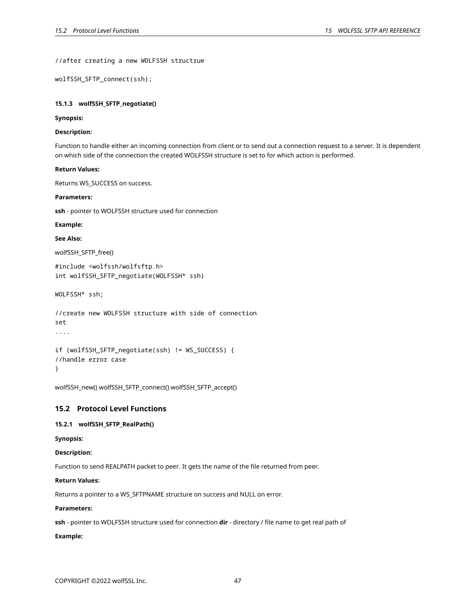//after creating a new WOLFSSH structrue

wolfSSH\_SFTP\_connect(ssh);

### <span id="page-46-0"></span>**15.1.3 wolfSSH\_SFTP\_negotiate()**

#### **Synopsis:**

# **Description:**

Function to handle either an incoming connection from client or to send out a connection request to a server. It is dependent on which side of the connection the created WOLFSSH structure is set to for which action is performed.

# **Return Values:**

Returns WS\_SUCCESS on success.

# **Parameters:**

**ssh** - pointer to WOLFSSH structure used for connection

#### **Example:**

# **See Also:**

wolfSSH\_SFTP\_free()

```
#include <wolfssh/wolfsftp.h>
int wolfSSH_SFTP_negotiate(WOLFSSH* ssh)
```
WOLFSSH\* ssh;

```
//create new WOLFSSH structure with side of connection
set
....
```

```
if (wolfSSH_SFTP_negotiate(ssh) != WS_SUCCESS) {
//handle error case
}
```
<span id="page-46-1"></span>wolfSSH\_new() wolfSSH\_SFTP\_connect() wolfSSH\_SFTP\_accept()

# **15.2 Protocol Level Functions**

# <span id="page-46-2"></span>**15.2.1 wolfSSH\_SFTP\_RealPath()**

**Synopsis:**

### **Description:**

Function to send REALPATH packet to peer. It gets the name of the file returned from peer.

# **Return Values:**

Returns a pointer to a WS\_SFTPNAME structure on success and NULL on error.

# **Parameters:**

**ssh** - pointer to WOLFSSH structure used for connection **dir** - directory / file name to get real path of

### **Example:**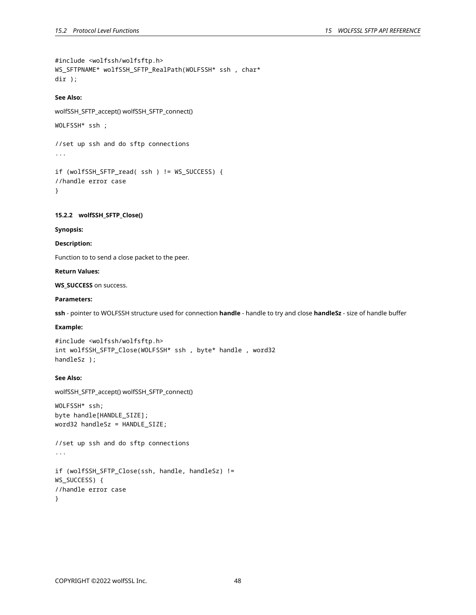```
#include <wolfssh/wolfsftp.h>
WS_SFTPNAME* wolfSSH_SFTP_RealPath(WOLFSSH* ssh , char*
dir );
```
# **See Also:**

wolfSSH\_SFTP\_accept() wolfSSH\_SFTP\_connect() WOLFSSH\* ssh ; //set up ssh and do sftp connections ... if (wolfSSH\_SFTP\_read( ssh ) != WS\_SUCCESS) {

```
//handle error case
}
```
# <span id="page-47-0"></span>**15.2.2 wolfSSH\_SFTP\_Close()**

# **Synopsis:**

# **Description:**

Function to to send a close packet to the peer.

# **Return Values:**

**WS\_SUCCESS** on success.

### **Parameters:**

**ssh** - pointer to WOLFSSH structure used for connection **handle** - handle to try and close **handleSz** - size of handle buffer

# **Example:**

```
#include <wolfssh/wolfsftp.h>
int wolfSSH_SFTP_Close(WOLFSSH* ssh , byte* handle , word32
handleSz );
```
# **See Also:**

```
wolfSSH_SFTP_accept() wolfSSH_SFTP_connect()
WOLFSSH* ssh;
byte handle[HANDLE_SIZE];
word32 handleSz = HANDLE_SIZE;
//set up ssh and do sftp connections
...
if (wolfSSH_SFTP_Close(ssh, handle, handleSz) !=
WS_SUCCESS) {
//handle error case
}
```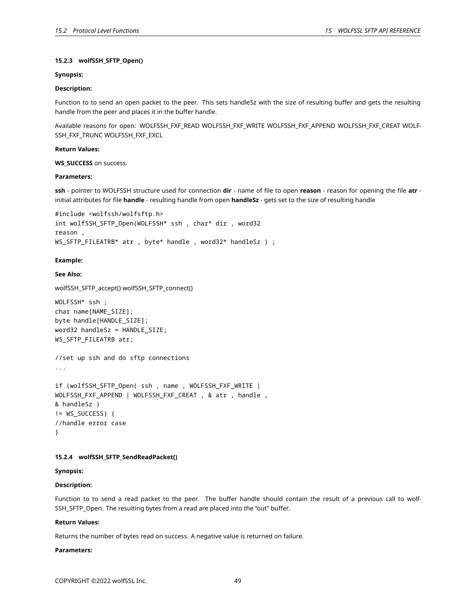# **15.2.3 wolfSSH\_SFTP\_Open()**

# **Synopsis:**

# **Description:**

Function to to send an open packet to the peer. This sets handleSz with the size of resulting buffer and gets the resulting handle from the peer and places it in the buffer handle.

Available reasons for open: WOLFSSH\_FXF\_READ WOLFSSH\_FXF\_WRITE WOLFSSH\_FXF\_APPEND WOLFSSH\_FXF\_CREAT WOLF-SSH\_FXF\_TRUNC WOLFSSH\_FXF\_EXCL

# **Return Values:**

# **WS\_SUCCESS** on success.

# **Parameters:**

**ssh** - pointer to WOLFSSH structure used for connection **dir** - name of file to open **reason** - reason for opening the file **atr** initial attributes for file **handle** - resulting handle from open **handleSz** - gets set to the size of resulting handle

```
#include <wolfssh/wolfsftp.h>
int wolfSSH_SFTP_Open(WOLFSSH* ssh , char* dir , word32
reason ,
WS_SFTP_FILEATRB* atr , byte* handle , word32* handleSz ) ;
```
# **Example:**

# **See Also:**

```
wolfSSH_SFTP_accept() wolfSSH_SFTP_connect()
```

```
WOLFSSH* ssh ;
char name[NAME_SIZE];
byte handle[HANDLE_SIZE];
word32 handleSz = HANDLE_SIZE;
WS_SFTP_FILEATRB atr;
```

```
//set up ssh and do sftp connections
...
```

```
if (wolfSSH_SFTP_Open( ssh , name , WOLFSSH_FXF_WRITE |
WOLFSSH_FXF_APPEND | WOLFSSH_FXF_CREAT , & atr , handle ,
& handleSz )
!= WS_SUCCESS) {
//handle error case
}
```
# <span id="page-48-0"></span>**15.2.4 wolfSSH\_SFTP\_SendReadPacket()**

# **Synopsis:**

# **Description:**

Function to to send a read packet to the peer. The buffer handle should contain the result of a previous call to wolf-SSH\_SFTP\_Open. The resulting bytes from a read are placed into the "out" buffer.

# **Return Values:**

Returns the number of bytes read on success. A negative value is returned on failure.

# **Parameters:**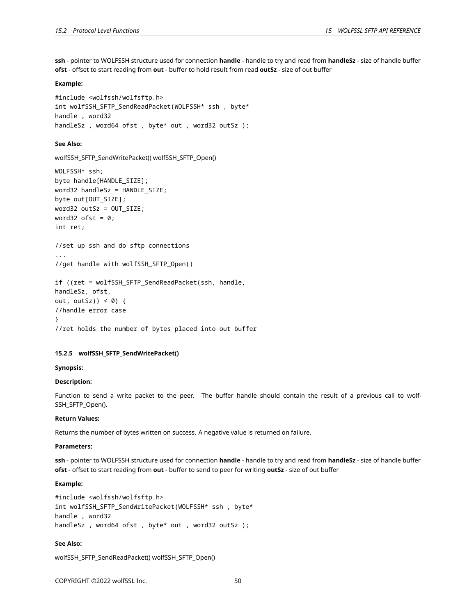**ssh** - pointer to WOLFSSH structure used for connection **handle** - handle to try and read from **handleSz** - size of handle buffer **ofst** - offset to start reading from **out** - buffer to hold result from read **outSz** - size of out buffer

### **Example:**

```
#include <wolfssh/wolfsftp.h>
int wolfSSH_SFTP_SendReadPacket(WOLFSSH* ssh , byte*
handle , word32
handleSz, word64 ofst, byte* out, word32 outSz);
```
### **See Also:**

```
wolfSSH_SFTP_SendWritePacket() wolfSSH_SFTP_Open()
```

```
WOLFSSH* ssh;
byte handle[HANDLE SIZE];
word32 handleSz = HANDLE SIZE;
byte out[OUT_SIZE];
word32 outSz = OUT_SIZE;
word32 ofst = 0;
int ret;
```

```
//set up ssh and do sftp connections
...
```

```
//get handle with wolfSSH_SFTP_Open()
```

```
if ((ret = wolfSSH_SFTP_SendReadPacket(ssh, handle,
handleSz, ofst,
out, outSz)) < 0) {
//handle error case
}
//ret holds the number of bytes placed into out buffer
```
# <span id="page-49-0"></span>**15.2.5 wolfSSH\_SFTP\_SendWritePacket()**

### **Synopsis:**

# **Description:**

Function to send a write packet to the peer. The buffer handle should contain the result of a previous call to wolf-SSH\_SFTP\_Open().

# **Return Values:**

Returns the number of bytes written on success. A negative value is returned on failure.

#### **Parameters:**

**ssh** - pointer to WOLFSSH structure used for connection **handle** - handle to try and read from **handleSz** - size of handle buffer **ofst** - offset to start reading from **out** - buffer to send to peer for writing **outSz** - size of out buffer

# **Example:**

```
#include <wolfssh/wolfsftp.h>
int wolfSSH_SFTP_SendWritePacket(WOLFSSH* ssh , byte*
handle , word32
handleSz, word64 ofst, byte* out, word32 outSz);
```
# **See Also:**

```
wolfSSH_SFTP_SendReadPacket() wolfSSH_SFTP_Open()
```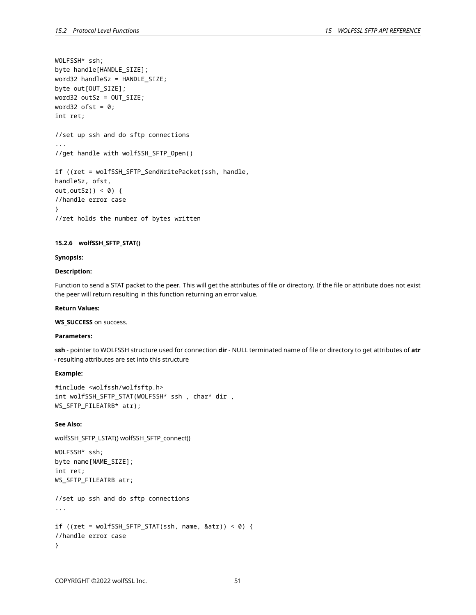```
WOLFSSH* ssh;
byte handle[HANDLE_SIZE];
word32 handleSz = HANDLE_SIZE;
byte out[OUT_SIZE];
word32 outSz = OUT_SIZE;
word32 ofst = 0;
int ret;
//set up ssh and do sftp connections
...
//get handle with wolfSSH_SFTP_Open()
if ((ret = wolfSSH_SFTP_SendWritePacket(ssh, handle,
handleSz, ofst,
out, out Sz) \leq 0 \leq//handle error case
}
//ret holds the number of bytes written
```
# <span id="page-50-0"></span>**15.2.6 wolfSSH\_SFTP\_STAT()**

#### **Synopsis:**

### **Description:**

Function to send a STAT packet to the peer. This will get the attributes of file or directory. If the file or attribute does not exist the peer will return resulting in this function returning an error value.

### **Return Values:**

### **WS\_SUCCESS** on success.

### **Parameters:**

**ssh** - pointer to WOLFSSH structure used for connection **dir** - NULL terminated name of file or directory to get attributes of **atr** - resulting attributes are set into this structure

#### **Example:**

```
#include <wolfssh/wolfsftp.h>
int wolfSSH_SFTP_STAT(WOLFSSH* ssh , char* dir ,
WS_SFTP_FILEATRB* atr);
```
### **See Also:**

```
wolfSSH_SFTP_LSTAT() wolfSSH_SFTP_connect()
```

```
WOLFSSH* ssh;
byte name[NAME_SIZE];
int ret;
WS_SFTP_FILEATRB atr;
//set up ssh and do sftp connections
...
if ((ret = wolfSSH_SFTP_STAT(ssh, name, & \text{attr})) < 0) {
//handle error case
}
```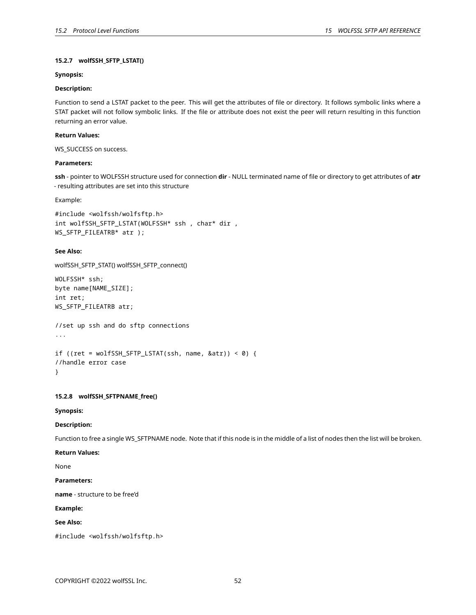# **15.2.7 wolfSSH\_SFTP\_LSTAT()**

# **Synopsis:**

# **Description:**

Function to send a LSTAT packet to the peer. This will get the attributes of file or directory. It follows symbolic links where a STAT packet will not follow symbolic links. If the file or attribute does not exist the peer will return resulting in this function returning an error value.

# **Return Values:**

WS\_SUCCESS on success.

# **Parameters:**

**ssh** - pointer to WOLFSSH structure used for connection **dir** - NULL terminated name of file or directory to get attributes of **atr** - resulting attributes are set into this structure

Example:

```
#include <wolfssh/wolfsftp.h>
int wolfSSH_SFTP_LSTAT(WOLFSSH* ssh , char* dir ,
WS_SFTP_FILEATRB* atr );
```
# **See Also:**

```
wolfSSH_SFTP_STAT() wolfSSH_SFTP_connect()
```
WOLFSSH\* ssh; byte name[NAME\_SIZE]; int ret; WS\_SFTP\_FILEATRB atr;

//set up ssh and do sftp connections ...

```
if ((ret = wolfSSH_SFTP_LSTAT(ssh, name, & \text{attr})) < 0) {
//handle error case
}
```
# <span id="page-51-0"></span>**15.2.8 wolfSSH\_SFTPNAME\_free()**

**Synopsis:**

# **Description:**

Function to free a single WS\_SFTPNAME node. Note that if this node is in the middle of a list of nodes then the list will be broken.

**Return Values:**

None

# **Parameters:**

**name** - structure to be free'd

# **Example:**

**See Also:**

<span id="page-51-1"></span>#include <wolfssh/wolfsftp.h>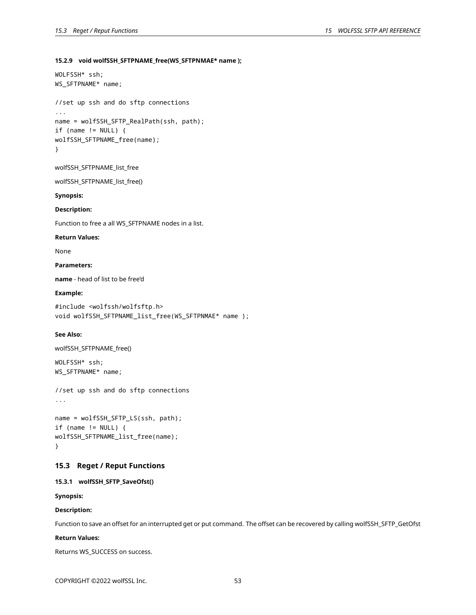# **15.2.9 void wolfSSH\_SFTPNAME\_free(WS\_SFTPNMAE\* name );**

```
WOLFSSH* ssh;
WS_SFTPNAME* name;
```

```
//set up ssh and do sftp connections
...
name = wolfSSH_SFTP_RealPath(ssh, path);
if (name != NULL) {
wolfSSH_SFTPNAME_free(name);
}
```

```
wolfSSH_SFTPNAME_list_free
```
wolfSSH\_SFTPNAME\_list\_free()

# **Synopsis:**

# **Description:**

Function to free a all WS\_SFTPNAME nodes in a list.

### **Return Values:**

None

# **Parameters:**

**name** - head of list to be free'd

### **Example:**

#include <wolfssh/wolfsftp.h> void wolfSSH\_SFTPNAME\_list\_free(WS\_SFTPNMAE\* name );

# **See Also:**

```
wolfSSH_SFTPNAME_free()
```
WOLFSSH\* ssh; WS\_SFTPNAME\* name;

```
//set up ssh and do sftp connections
...
```

```
name = wolfSSH_SFTP_LS(ssh, path);
if (name != NULL) {
wolfSSH_SFTPNAME_list_free(name);
}
```
# <span id="page-52-0"></span>**15.3 Reget / Reput Functions**

# <span id="page-52-1"></span>**15.3.1 wolfSSH\_SFTP\_SaveOfst()**

**Synopsis:**

# **Description:**

Function to save an offset for an interrupted get or put command. The offset can be recovered by calling wolfSSH\_SFTP\_GetOfst

# **Return Values:**

Returns WS\_SUCCESS on success.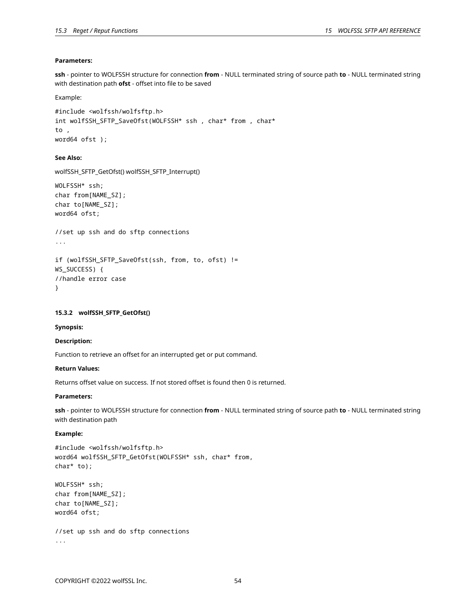# **Parameters:**

**ssh** - pointer to WOLFSSH structure for connection **from** - NULL terminated string of source path **to** - NULL terminated string with destination path **ofst** - offset into file to be saved

Example:

```
#include <wolfssh/wolfsftp.h>
int wolfSSH_SFTP_SaveOfst(WOLFSSH* ssh , char* from , char*
to ,
word64 ofst );
```
# **See Also:**

```
wolfSSH_SFTP_GetOfst() wolfSSH_SFTP_Interrupt()
```

```
WOLFSSH* ssh;
char from[NAME_SZ];
char to[NAME_SZ];
word64 ofst;
```

```
//set up ssh and do sftp connections
```

```
...
```

```
if (wolfSSH_SFTP_SaveOfst(ssh, from, to, ofst) !=
WS SUCCESS) {
//handle error case
}
```
# <span id="page-53-0"></span>**15.3.2 wolfSSH\_SFTP\_GetOfst()**

### **Synopsis:**

# **Description:**

Function to retrieve an offset for an interrupted get or put command.

### **Return Values:**

Returns offset value on success. If not stored offset is found then 0 is returned.

# **Parameters:**

**ssh** - pointer to WOLFSSH structure for connection **from** - NULL terminated string of source path **to** - NULL terminated string with destination path

# **Example:**

```
#include <wolfssh/wolfsftp.h>
word64 wolfSSH_SFTP_GetOfst(WOLFSSH* ssh, char* from,
char* to);
```

```
WOLFSSH* ssh;
char from[NAME_SZ];
char to[NAME_SZ];
word64 ofst;
```

```
//set up ssh and do sftp connections
...
```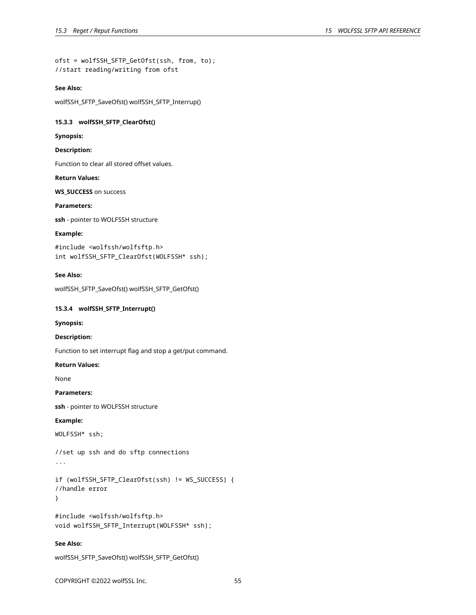ofst = wolfSSH\_SFTP\_GetOfst(ssh, from, to); //start reading/writing from ofst

#### **See Also:**

<span id="page-54-0"></span>wolfSSH\_SFTP\_SaveOfst() wolfSSH\_SFTP\_Interrup()

# **15.3.3 wolfSSH\_SFTP\_ClearOfst()**

**Synopsis:**

# **Description:**

Function to clear all stored offset values.

### **Return Values:**

**WS\_SUCCESS** on success

# **Parameters:**

**ssh** - pointer to WOLFSSH structure

### **Example:**

#include <wolfssh/wolfsftp.h> int wolfSSH\_SFTP\_ClearOfst(WOLFSSH\* ssh);

### **See Also:**

<span id="page-54-1"></span>wolfSSH\_SFTP\_SaveOfst() wolfSSH\_SFTP\_GetOfst()

# **15.3.4 wolfSSH\_SFTP\_Interrupt()**

#### **Synopsis:**

### **Description:**

Function to set interrupt flag and stop a get/put command.

### **Return Values:**

None

# **Parameters:**

**ssh** - pointer to WOLFSSH structure

# **Example:**

WOLFSSH\* ssh;

//set up ssh and do sftp connections

```
...
```

```
if (wolfSSH_SFTP_ClearOfst(ssh) != WS_SUCCESS) {
//handle error
}
```

```
#include <wolfssh/wolfsftp.h>
void wolfSSH_SFTP_Interrupt(WOLFSSH* ssh);
```
# **See Also:**

```
wolfSSH_SFTP_SaveOfst() wolfSSH_SFTP_GetOfst()
```
COPYRIGHT ©2022 wolfSSL Inc. 55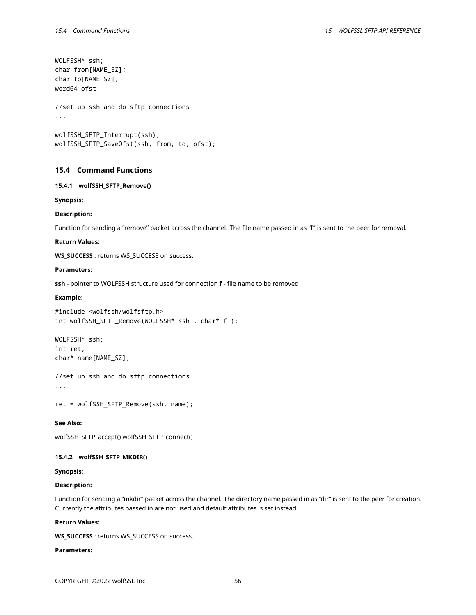```
WOLFSSH* ssh;
char from[NAME_SZ];
char to[NAME_SZ];
word64 ofst;
//set up ssh and do sftp connections
...
wolfSSH_SFTP_Interrupt(ssh);
wolfSSH_SFTP_SaveOfst(ssh, from, to, ofst);
```
# <span id="page-55-0"></span>**15.4 Command Functions**

#### <span id="page-55-1"></span>**15.4.1 wolfSSH\_SFTP\_Remove()**

**Synopsis:**

### **Description:**

Function for sending a "remove" packet across the channel. The file name passed in as "f" is sent to the peer for removal.

#### **Return Values:**

**WS\_SUCCESS** : returns WS\_SUCCESS on success.

### **Parameters:**

**ssh** - pointer to WOLFSSH structure used for connection **f** - file name to be removed

### **Example:**

#include <wolfssh/wolfsftp.h> int wolfSSH\_SFTP\_Remove(WOLFSSH\* ssh , char\* f );

WOLFSSH\* ssh; int ret; char\* name[NAME\_SZ];

//set up ssh and do sftp connections ...

ret = wolfSSH\_SFTP\_Remove(ssh, name);

### **See Also:**

<span id="page-55-2"></span>wolfSSH\_SFTP\_accept() wolfSSH\_SFTP\_connect()

# **15.4.2 wolfSSH\_SFTP\_MKDIR()**

### **Synopsis:**

### **Description:**

Function for sending a "mkdir" packet across the channel. The directory name passed in as "dir" is sent to the peer for creation. Currently the attributes passed in are not used and default attributes is set instead.

#### **Return Values:**

**WS\_SUCCESS** : returns WS\_SUCCESS on success.

# **Parameters:**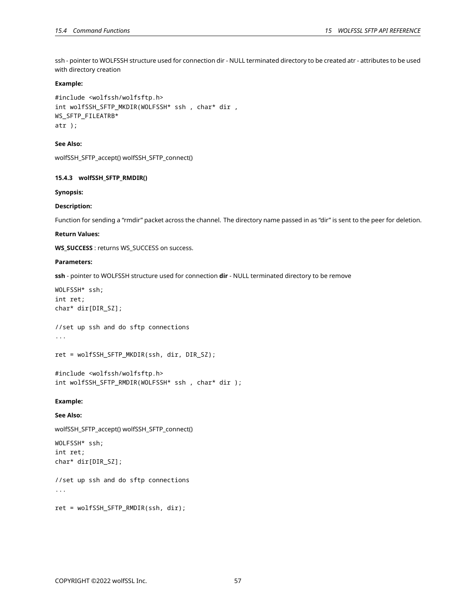ssh - pointer to WOLFSSH structure used for connection dir - NULL terminated directory to be created atr - attributes to be used with directory creation

### **Example:**

```
#include <wolfssh/wolfsftp.h>
int wolfSSH_SFTP_MKDIR(WOLFSSH* ssh , char* dir ,
WS_SFTP_FILEATRB*
atr );
```
# **See Also:**

<span id="page-56-0"></span>wolfSSH\_SFTP\_accept() wolfSSH\_SFTP\_connect()

# **15.4.3 wolfSSH\_SFTP\_RMDIR()**

### **Synopsis:**

### **Description:**

Function for sending a "rmdir" packet across the channel. The directory name passed in as "dir" is sent to the peer for deletion.

### **Return Values:**

**WS\_SUCCESS** : returns WS\_SUCCESS on success.

### **Parameters:**

**ssh** - pointer to WOLFSSH structure used for connection **dir** - NULL terminated directory to be remove

```
WOLFSSH* ssh;
int ret;
char* dir[DIR_SZ];
```
//set up ssh and do sftp connections ...

```
ret = wolfSSH_SFTP_MKDIR(ssh, dir, DIR_SZ);
```

```
#include <wolfssh/wolfsftp.h>
int wolfSSH_SFTP_RMDIR(WOLFSSH* ssh , char* dir );
```
# **Example:**

# **See Also:**

wolfSSH\_SFTP\_accept() wolfSSH\_SFTP\_connect()

WOLFSSH\* ssh; int ret; char\* dir[DIR\_SZ];

//set up ssh and do sftp connections ...

<span id="page-56-1"></span>ret = wolfSSH\_SFTP\_RMDIR(ssh, dir);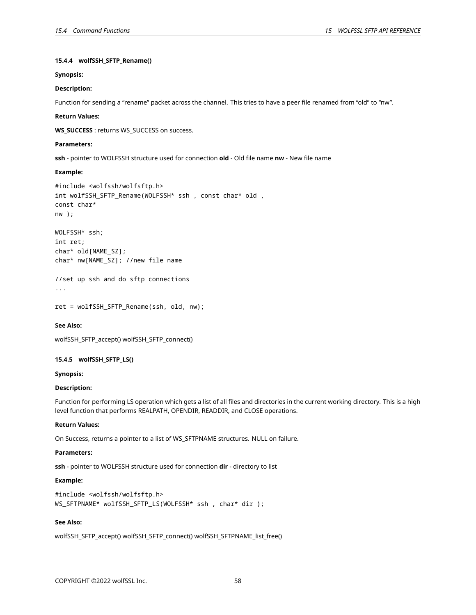# **15.4.4 wolfSSH\_SFTP\_Rename()**

### **Synopsis:**

# **Description:**

Function for sending a "rename" packet across the channel. This tries to have a peer file renamed from "old" to "nw".

#### **Return Values:**

**WS\_SUCCESS** : returns WS\_SUCCESS on success.

### **Parameters:**

**ssh** - pointer to WOLFSSH structure used for connection **old** - Old file name **nw** - New file name

#### **Example:**

```
#include <wolfssh/wolfsftp.h>
int wolfSSH_SFTP_Rename(WOLFSSH* ssh , const char* old ,
const char*
nw );
WOLFSSH* ssh;
int ret;
```

```
char* old[NAME_SZ];
char* nw[NAME_SZ]; //new file name
```
//set up ssh and do sftp connections

```
...
```

```
ret = wolfSSH_SFTP_Rename(ssh, old, nw);
```
#### **See Also:**

```
wolfSSH_SFTP_accept() wolfSSH_SFTP_connect()
```
# **15.4.5 wolfSSH\_SFTP\_LS()**

#### **Synopsis:**

# **Description:**

Function for performing LS operation which gets a list of all files and directories in the current working directory. This is a high level function that performs REALPATH, OPENDIR, READDIR, and CLOSE operations.

### **Return Values:**

On Success, returns a pointer to a list of WS\_SFTPNAME structures. NULL on failure.

#### **Parameters:**

**ssh** - pointer to WOLFSSH structure used for connection **dir** - directory to list

# **Example:**

```
#include <wolfssh/wolfsftp.h>
WS_SFTPNAME* wolfSSH_SFTP_LS(WOLFSSH* ssh , char* dir );
```
#### **See Also:**

wolfSSH\_SFTP\_accept() wolfSSH\_SFTP\_connect() wolfSSH\_SFTPNAME\_list\_free()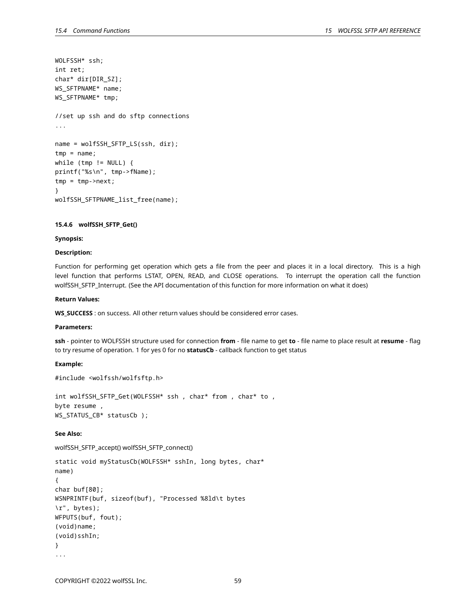```
WOLFSSH* ssh;
int ret;
char* dir[DIR_SZ];
WS_SFTPNAME* name;
WS_SFTPNAME* tmp;
//set up ssh and do sftp connections
...
name = wolfSSH_SFTP_LS(ssh, dir);
tmp = name;
while (tmp != NULL) {
printf("%s\n", tmp->fName);
tmp = tmp->next;
}
wolfSSH_SFTPNAME_list_free(name);
```
# <span id="page-58-0"></span>**15.4.6 wolfSSH\_SFTP\_Get()**

#### **Synopsis:**

# **Description:**

Function for performing get operation which gets a file from the peer and places it in a local directory. This is a high level function that performs LSTAT, OPEN, READ, and CLOSE operations. To interrupt the operation call the function wolfSSH\_SFTP\_Interrupt. (See the API documentation of this function for more information on what it does)

### **Return Values:**

WS SUCCESS : on success. All other return values should be considered error cases.

### **Parameters:**

**ssh** - pointer to WOLFSSH structure used for connection **from** - file name to get **to** - file name to place result at **resume** - flag to try resume of operation. 1 for yes 0 for no **statusCb** - callback function to get status

### **Example:**

#include <wolfssh/wolfsftp.h>

int wolfSSH\_SFTP\_Get(WOLFSSH\* ssh , char\* from , char\* to , byte resume , WS\_STATUS\_CB\* statusCb );

# **See Also:**

wolfSSH\_SFTP\_accept() wolfSSH\_SFTP\_connect()

```
static void myStatusCb(WOLFSSH* sshIn, long bytes, char*
name)
{
char buf[80];
WSNPRINTF(buf, sizeof(buf), "Processed %8ld\t bytes
\r", bytes);
WFPUTS(buf, fout);
(void)name;
(void)sshIn;
}
...
```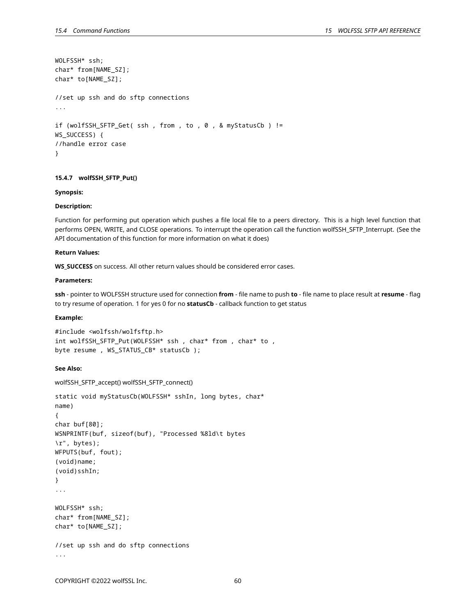```
WOLFSSH* ssh;
char* from[NAME_SZ];
char* to[NAME_SZ];
//set up ssh and do sftp connections
...
if (wolfSSH_SFTP_Get( ssh , from , to , 0 , & myStatusCb ) !=
WS SUCCESS) {
//handle error case
}
```
# <span id="page-59-0"></span>**15.4.7 wolfSSH\_SFTP\_Put()**

### **Synopsis:**

#### **Description:**

Function for performing put operation which pushes a file local file to a peers directory. This is a high level function that performs OPEN, WRITE, and CLOSE operations. To interrupt the operation call the function wolfSSH\_SFTP\_Interrupt. (See the API documentation of this function for more information on what it does)

# **Return Values:**

**WS\_SUCCESS** on success. All other return values should be considered error cases.

# **Parameters:**

**ssh** - pointer to WOLFSSH structure used for connection **from** - file name to push **to** - file name to place result at **resume** - flag to try resume of operation. 1 for yes 0 for no **statusCb** - callback function to get status

### **Example:**

```
#include <wolfssh/wolfsftp.h>
int wolfSSH_SFTP_Put(WOLFSSH* ssh , char* from , char* to ,
byte resume , WS_STATUS_CB* statusCb );
```
### **See Also:**

```
wolfSSH_SFTP_accept() wolfSSH_SFTP_connect()
```

```
static void myStatusCb(WOLFSSH* sshIn, long bytes, char*
name)
{
char buf[80];
WSNPRINTF(buf, sizeof(buf), "Processed %8ld\t bytes
\r", bytes);
WFPUTS(buf, fout);
(void)name;
(void)sshIn;
}
...
WOLFSSH* ssh;
char* from[NAME_SZ];
char* to[NAME_SZ];
//set up ssh and do sftp connections
...
```